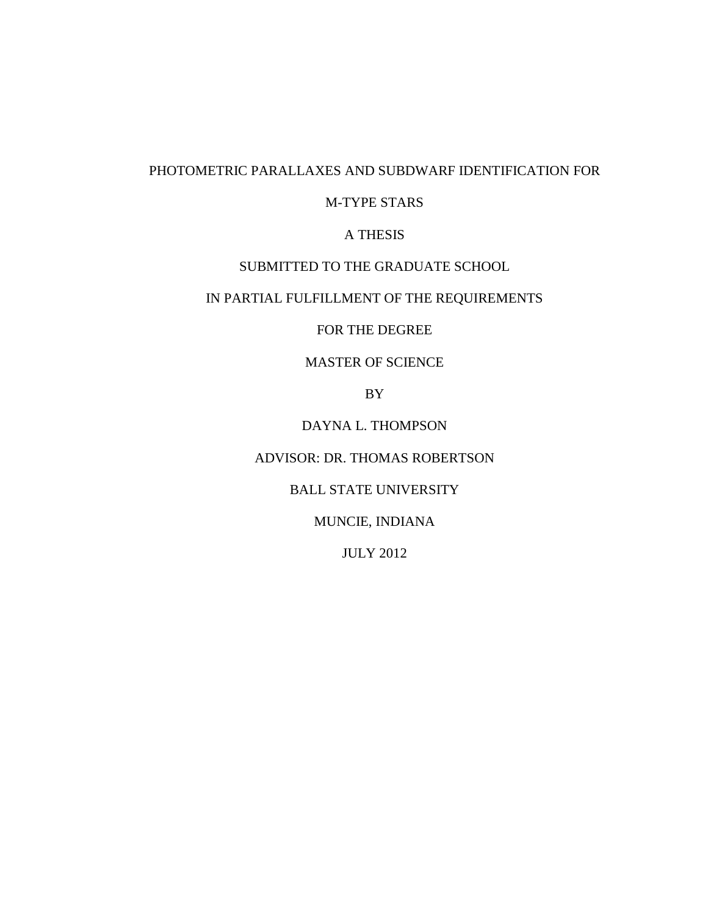# PHOTOMETRIC PARALLAXES AND SUBDWARF IDENTIFICATION FOR

# M-TYPE STARS

# A THESIS

## SUBMITTED TO THE GRADUATE SCHOOL

# IN PARTIAL FULFILLMENT OF THE REQUIREMENTS

# FOR THE DEGREE

# MASTER OF SCIENCE

BY

DAYNA L. THOMPSON

# ADVISOR: DR. THOMAS ROBERTSON

## BALL STATE UNIVERSITY

# MUNCIE, INDIANA

# JULY 2012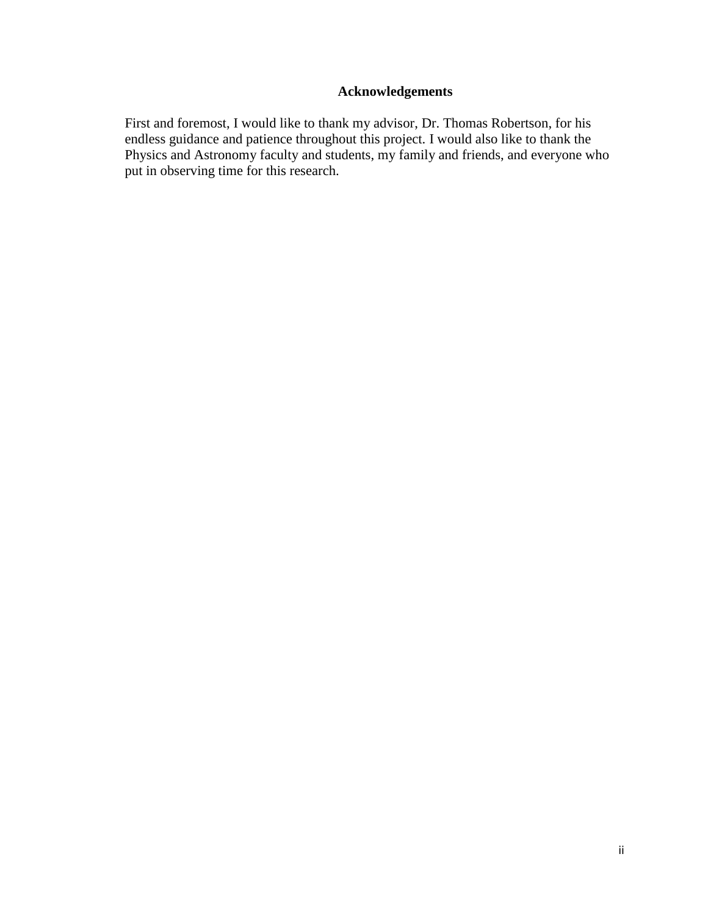# **Acknowledgements**

First and foremost, I would like to thank my advisor, Dr. Thomas Robertson, for his endless guidance and patience throughout this project. I would also like to thank the Physics and Astronomy faculty and students, my family and friends, and everyone who put in observing time for this research.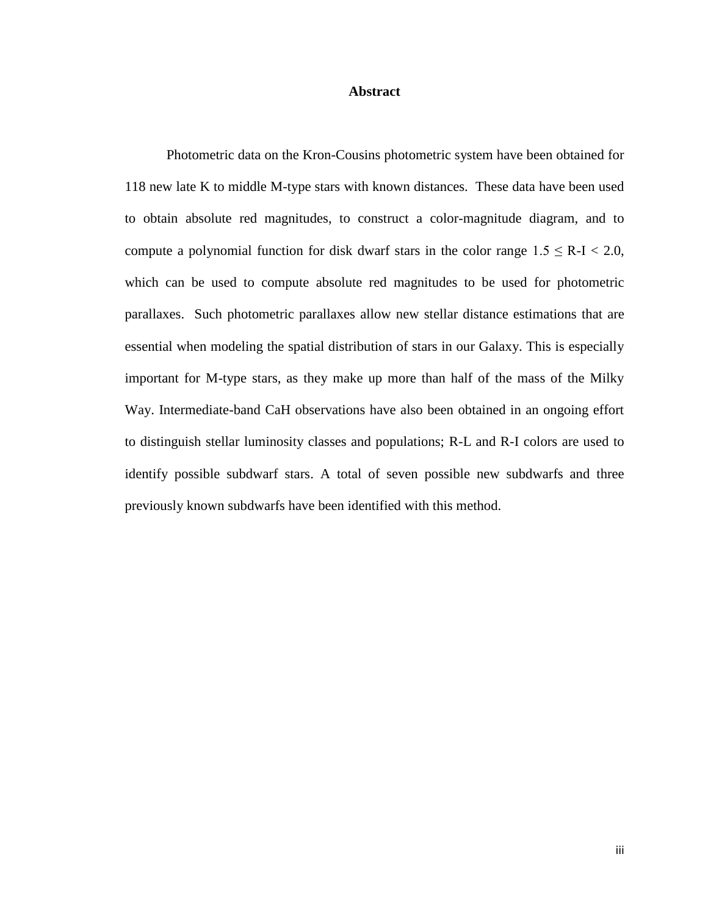#### **Abstract**

Photometric data on the Kron-Cousins photometric system have been obtained for 118 new late K to middle M-type stars with known distances. These data have been used to obtain absolute red magnitudes, to construct a color-magnitude diagram, and to compute a polynomial function for disk dwarf stars in the color range  $1.5 \leq R-I < 2.0$ , which can be used to compute absolute red magnitudes to be used for photometric parallaxes. Such photometric parallaxes allow new stellar distance estimations that are essential when modeling the spatial distribution of stars in our Galaxy. This is especially important for M-type stars, as they make up more than half of the mass of the Milky Way. Intermediate-band CaH observations have also been obtained in an ongoing effort to distinguish stellar luminosity classes and populations; R-L and R-I colors are used to identify possible subdwarf stars. A total of seven possible new subdwarfs and three previously known subdwarfs have been identified with this method.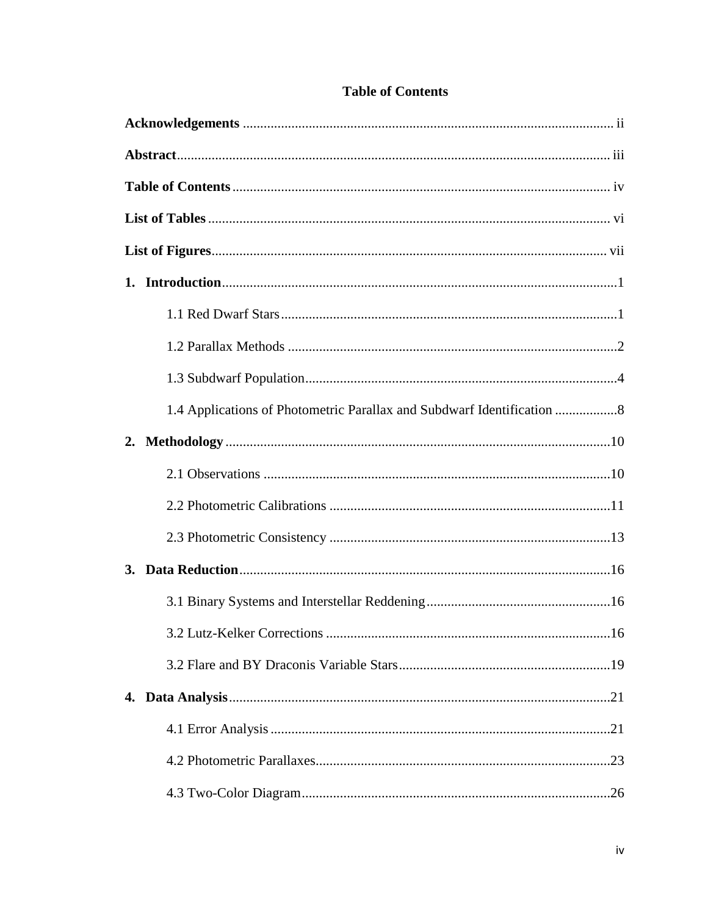|    | 1.4 Applications of Photometric Parallax and Subdwarf Identification |      |
|----|----------------------------------------------------------------------|------|
| 2. |                                                                      |      |
|    |                                                                      |      |
|    |                                                                      |      |
|    |                                                                      |      |
|    |                                                                      |      |
|    |                                                                      |      |
|    | 3.2 Lutz-Kelker Corrections                                          | . 16 |
|    |                                                                      |      |
|    |                                                                      |      |
|    |                                                                      |      |
|    |                                                                      |      |
|    |                                                                      |      |
|    |                                                                      |      |

# **Table of Contents**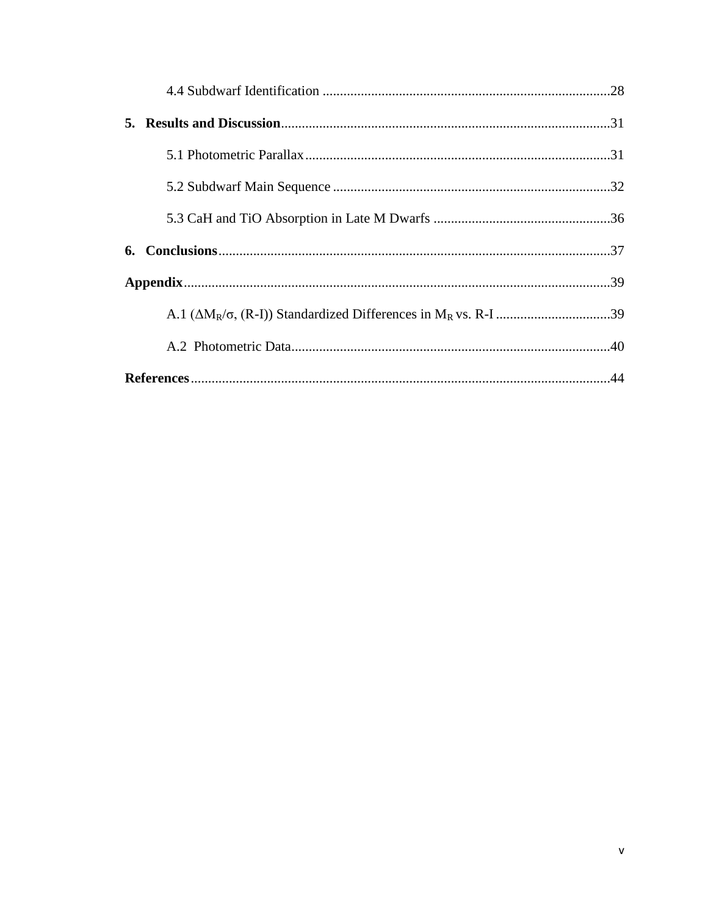| 5. |  |
|----|--|
|    |  |
|    |  |
|    |  |
|    |  |
|    |  |
|    |  |
|    |  |
|    |  |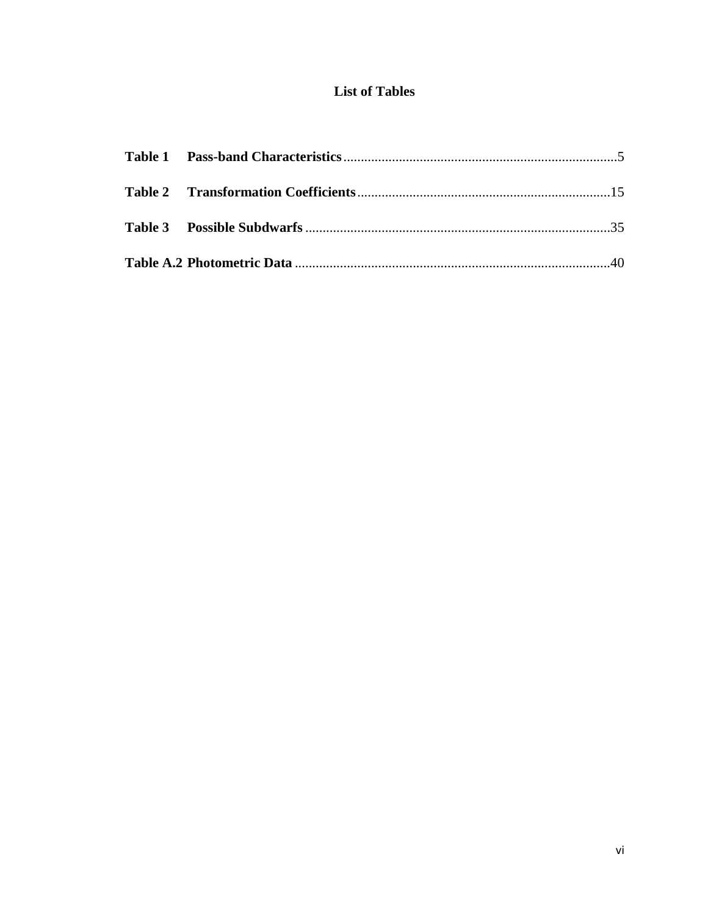# **List of Tables**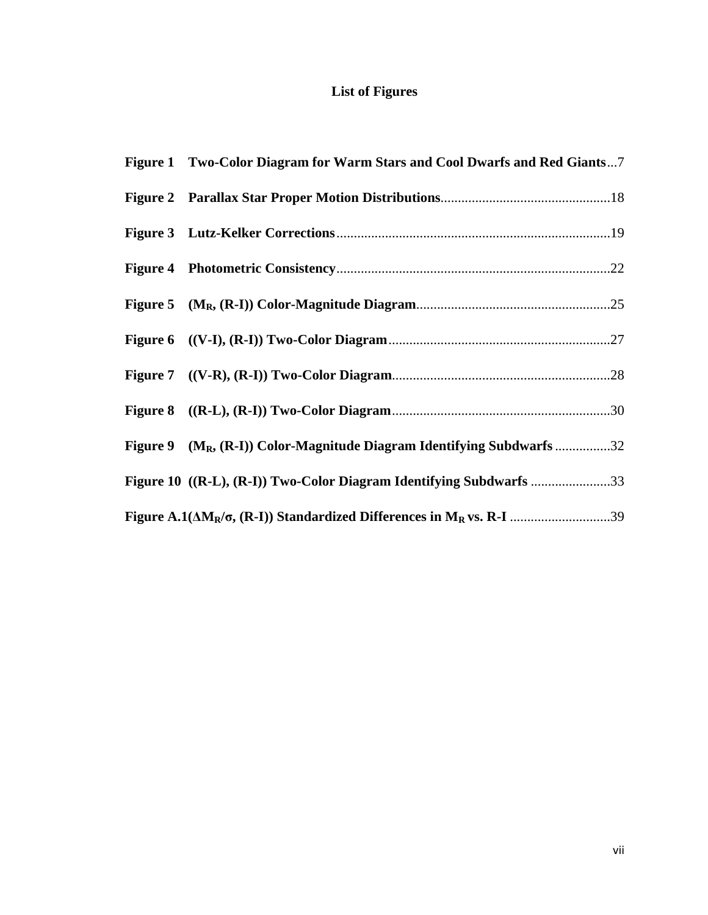# **List of Figures**

| Figure 1 Two-Color Diagram for Warm Stars and Cool Dwarfs and Red Giants7 |
|---------------------------------------------------------------------------|
|                                                                           |
|                                                                           |
|                                                                           |
|                                                                           |
|                                                                           |
|                                                                           |
|                                                                           |
| Figure 9 $(M_R, (R-I))$ Color-Magnitude Diagram Identifying Subdwarfs 32  |
| Figure 10 ((R-L), (R-I)) Two-Color Diagram Identifying Subdwarfs 33       |
|                                                                           |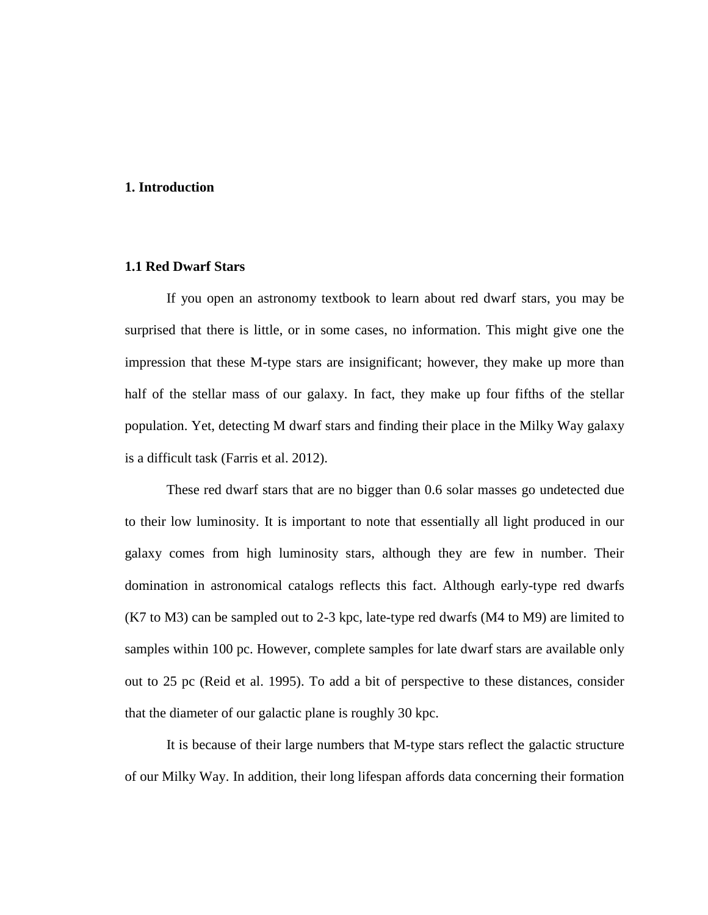#### **1. Introduction**

# **1.1 Red Dwarf Stars**

If you open an astronomy textbook to learn about red dwarf stars, you may be surprised that there is little, or in some cases, no information. This might give one the impression that these M-type stars are insignificant; however, they make up more than half of the stellar mass of our galaxy. In fact, they make up four fifths of the stellar population. Yet, detecting M dwarf stars and finding their place in the Milky Way galaxy is a difficult task (Farris et al. 2012).

These red dwarf stars that are no bigger than 0.6 solar masses go undetected due to their low luminosity. It is important to note that essentially all light produced in our galaxy comes from high luminosity stars, although they are few in number. Their domination in astronomical catalogs reflects this fact. Although early-type red dwarfs (K7 to M3) can be sampled out to 2-3 kpc, late-type red dwarfs (M4 to M9) are limited to samples within 100 pc. However, complete samples for late dwarf stars are available only out to 25 pc (Reid et al. 1995). To add a bit of perspective to these distances, consider that the diameter of our galactic plane is roughly 30 kpc.

It is because of their large numbers that M-type stars reflect the galactic structure of our Milky Way. In addition, their long lifespan affords data concerning their formation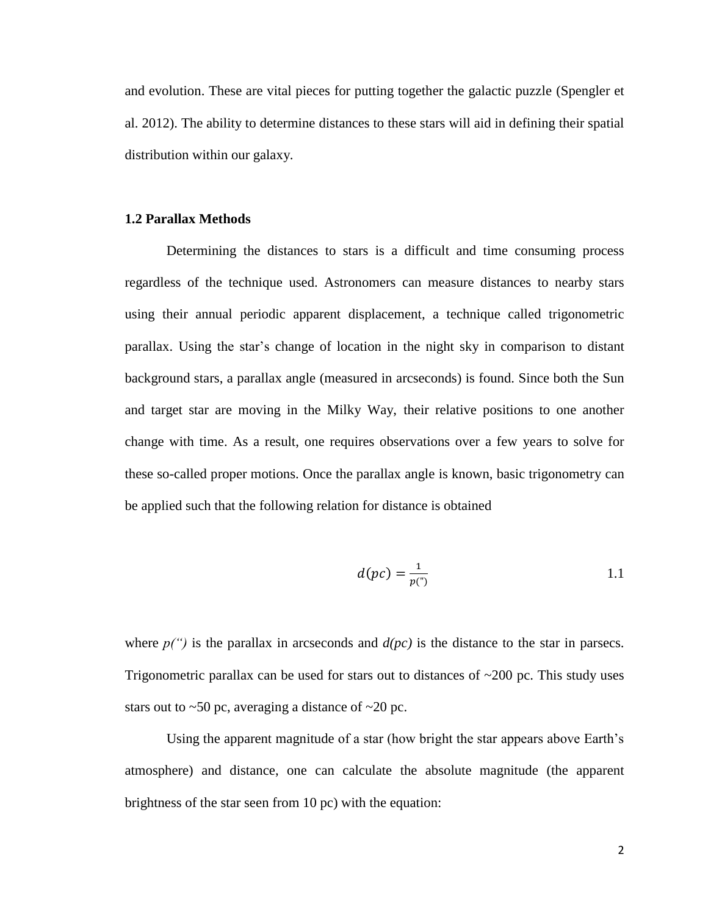and evolution. These are vital pieces for putting together the galactic puzzle (Spengler et al. 2012). The ability to determine distances to these stars will aid in defining their spatial distribution within our galaxy.

#### **1.2 Parallax Methods**

Determining the distances to stars is a difficult and time consuming process regardless of the technique used. Astronomers can measure distances to nearby stars using their annual periodic apparent displacement, a technique called trigonometric parallax. Using the star's change of location in the night sky in comparison to distant background stars, a parallax angle (measured in arcseconds) is found. Since both the Sun and target star are moving in the Milky Way, their relative positions to one another change with time. As a result, one requires observations over a few years to solve for these so-called proper motions. Once the parallax angle is known, basic trigonometry can be applied such that the following relation for distance is obtained

$$
d(pc) = \frac{1}{p(\cdot)}
$$

where  $p''$  is the parallax in arcseconds and  $d(pc)$  is the distance to the star in parsecs. Trigonometric parallax can be used for stars out to distances of  $\sim$ 200 pc. This study uses stars out to  $\sim 50$  pc, averaging a distance of  $\sim 20$  pc.

Using the apparent magnitude of a star (how bright the star appears above Earth's atmosphere) and distance, one can calculate the absolute magnitude (the apparent brightness of the star seen from 10 pc) with the equation: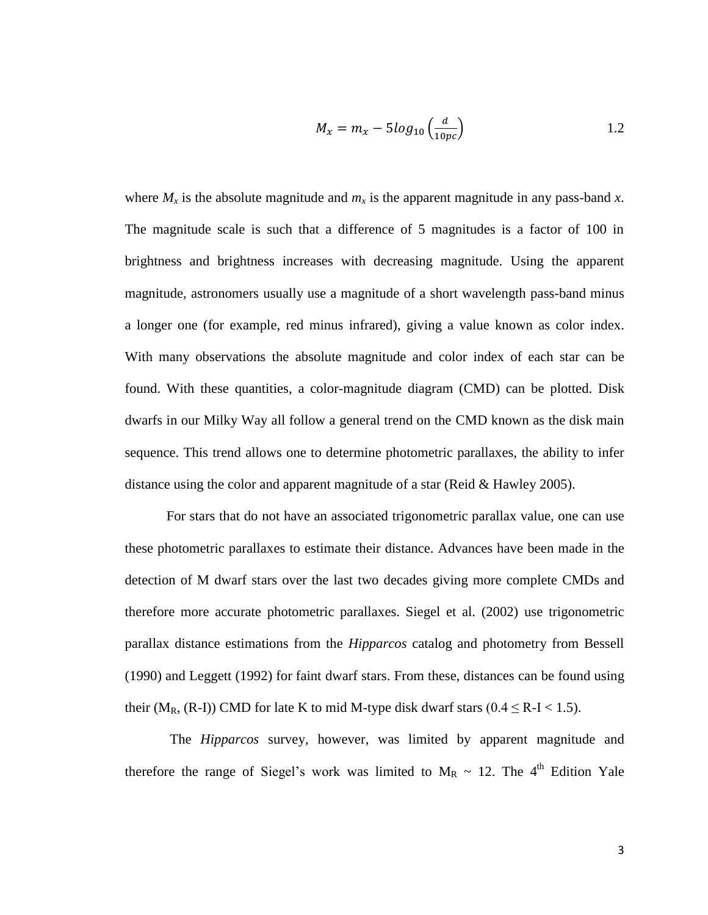$$
M_x = m_x - 5\log_{10}\left(\frac{d}{10pc}\right) \tag{1.2}
$$

where  $M_x$  is the absolute magnitude and  $m_x$  is the apparent magnitude in any pass-band *x*. The magnitude scale is such that a difference of 5 magnitudes is a factor of 100 in brightness and brightness increases with decreasing magnitude. Using the apparent magnitude, astronomers usually use a magnitude of a short wavelength pass-band minus a longer one (for example, red minus infrared), giving a value known as color index. With many observations the absolute magnitude and color index of each star can be found. With these quantities, a color-magnitude diagram (CMD) can be plotted. Disk dwarfs in our Milky Way all follow a general trend on the CMD known as the disk main sequence. This trend allows one to determine photometric parallaxes, the ability to infer distance using the color and apparent magnitude of a star (Reid & Hawley 2005).

For stars that do not have an associated trigonometric parallax value, one can use these photometric parallaxes to estimate their distance. Advances have been made in the detection of M dwarf stars over the last two decades giving more complete CMDs and therefore more accurate photometric parallaxes. Siegel et al. (2002) use trigonometric parallax distance estimations from the *Hipparcos* catalog and photometry from Bessell (1990) and Leggett (1992) for faint dwarf stars. From these, distances can be found using their (M<sub>R</sub>, (R-I)) CMD for late K to mid M-type disk dwarf stars ( $0.4 \le R$ -I $< 1.5$ ).

The *Hipparcos* survey, however, was limited by apparent magnitude and therefore the range of Siegel's work was limited to  $M_R \sim 12$ . The 4<sup>th</sup> Edition Yale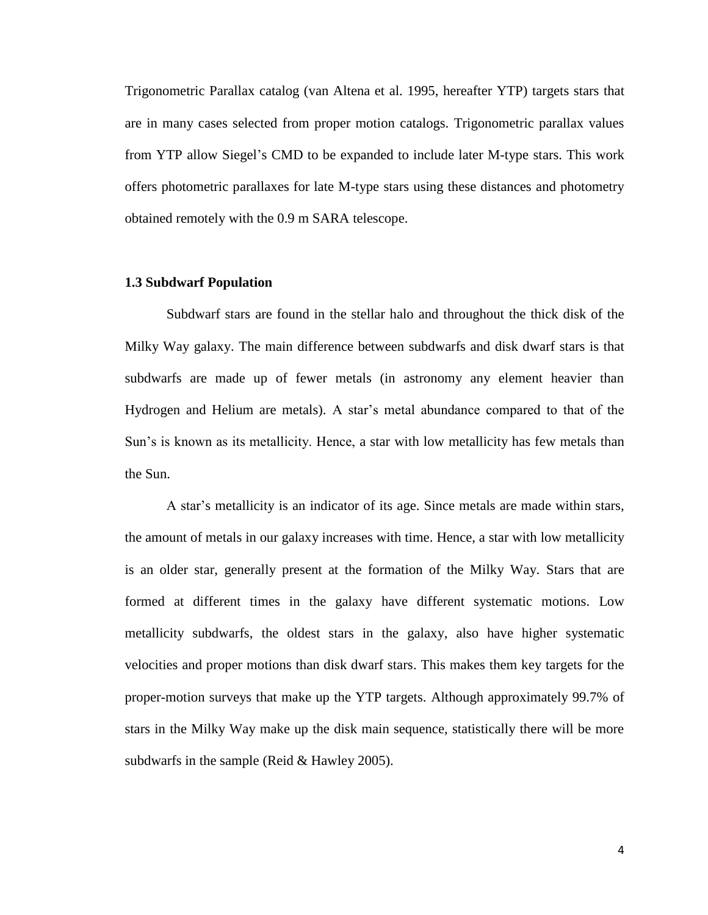Trigonometric Parallax catalog (van Altena et al. 1995, hereafter YTP) targets stars that are in many cases selected from proper motion catalogs. Trigonometric parallax values from YTP allow Siegel's CMD to be expanded to include later M-type stars. This work offers photometric parallaxes for late M-type stars using these distances and photometry obtained remotely with the 0.9 m SARA telescope.

#### **1.3 Subdwarf Population**

Subdwarf stars are found in the stellar halo and throughout the thick disk of the Milky Way galaxy. The main difference between subdwarfs and disk dwarf stars is that subdwarfs are made up of fewer metals (in astronomy any element heavier than Hydrogen and Helium are metals). A star's metal abundance compared to that of the Sun's is known as its metallicity. Hence, a star with low metallicity has few metals than the Sun.

A star's metallicity is an indicator of its age. Since metals are made within stars, the amount of metals in our galaxy increases with time. Hence, a star with low metallicity is an older star, generally present at the formation of the Milky Way. Stars that are formed at different times in the galaxy have different systematic motions. Low metallicity subdwarfs, the oldest stars in the galaxy, also have higher systematic velocities and proper motions than disk dwarf stars. This makes them key targets for the proper-motion surveys that make up the YTP targets. Although approximately 99.7% of stars in the Milky Way make up the disk main sequence, statistically there will be more subdwarfs in the sample (Reid & Hawley 2005).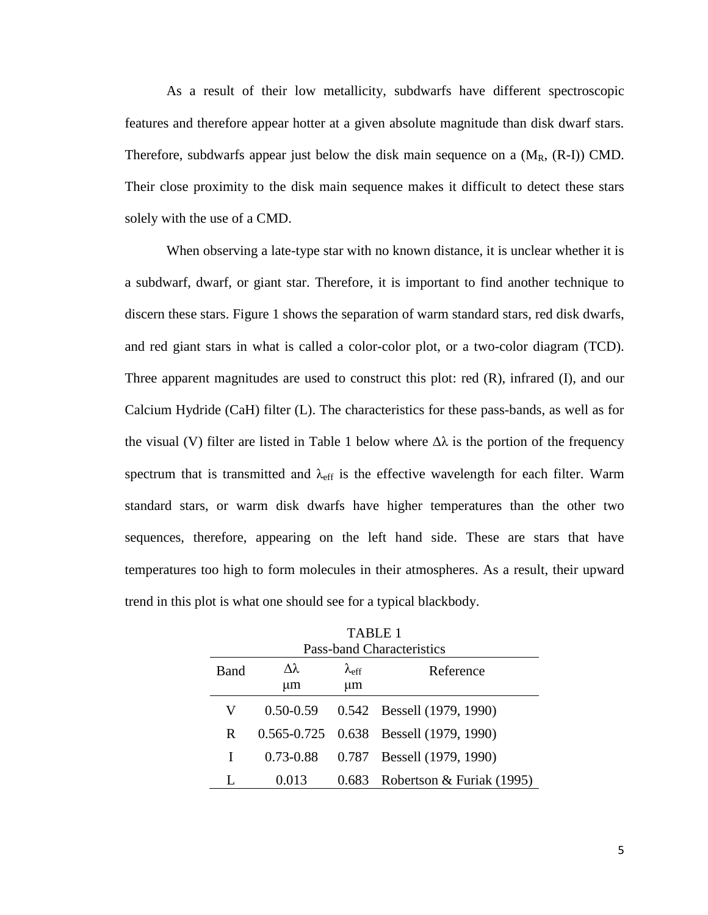As a result of their low metallicity, subdwarfs have different spectroscopic features and therefore appear hotter at a given absolute magnitude than disk dwarf stars. Therefore, subdwarfs appear just below the disk main sequence on a  $(M_R, (R-I))$  CMD. Their close proximity to the disk main sequence makes it difficult to detect these stars solely with the use of a CMD.

When observing a late-type star with no known distance, it is unclear whether it is a subdwarf, dwarf, or giant star. Therefore, it is important to find another technique to discern these stars. Figure 1 shows the separation of warm standard stars, red disk dwarfs, and red giant stars in what is called a color-color plot, or a two-color diagram (TCD). Three apparent magnitudes are used to construct this plot: red (R), infrared (I), and our Calcium Hydride (CaH) filter (L). The characteristics for these pass-bands, as well as for the visual (V) filter are listed in Table 1 below where  $\Delta\lambda$  is the portion of the frequency spectrum that is transmitted and  $\lambda_{\text{eff}}$  is the effective wavelength for each filter. Warm standard stars, or warm disk dwarfs have higher temperatures than the other two sequences, therefore, appearing on the left hand side. These are stars that have temperatures too high to form molecules in their atmospheres. As a result, their upward trend in this plot is what one should see for a typical blackbody.

| 1 ADIJ 1<br><b>Pass-band Characteristics</b> |                        |                           |                                        |  |  |  |  |  |  |  |  |  |
|----------------------------------------------|------------------------|---------------------------|----------------------------------------|--|--|--|--|--|--|--|--|--|
| Band                                         | $\lambda\lambda$<br>μm | $\lambda_{\rm eff}$<br>μm | Reference                              |  |  |  |  |  |  |  |  |  |
|                                              |                        |                           |                                        |  |  |  |  |  |  |  |  |  |
| V                                            | $0.50 - 0.59$          |                           | 0.542 Bessell (1979, 1990)             |  |  |  |  |  |  |  |  |  |
| R                                            |                        |                           | 0.565-0.725 0.638 Bessell (1979, 1990) |  |  |  |  |  |  |  |  |  |
| I                                            | $0.73 - 0.88$          |                           | 0.787 Bessell (1979, 1990)             |  |  |  |  |  |  |  |  |  |
|                                              | 0.013                  |                           | 0.683 Robertson & Furiak (1995)        |  |  |  |  |  |  |  |  |  |

TABLE 1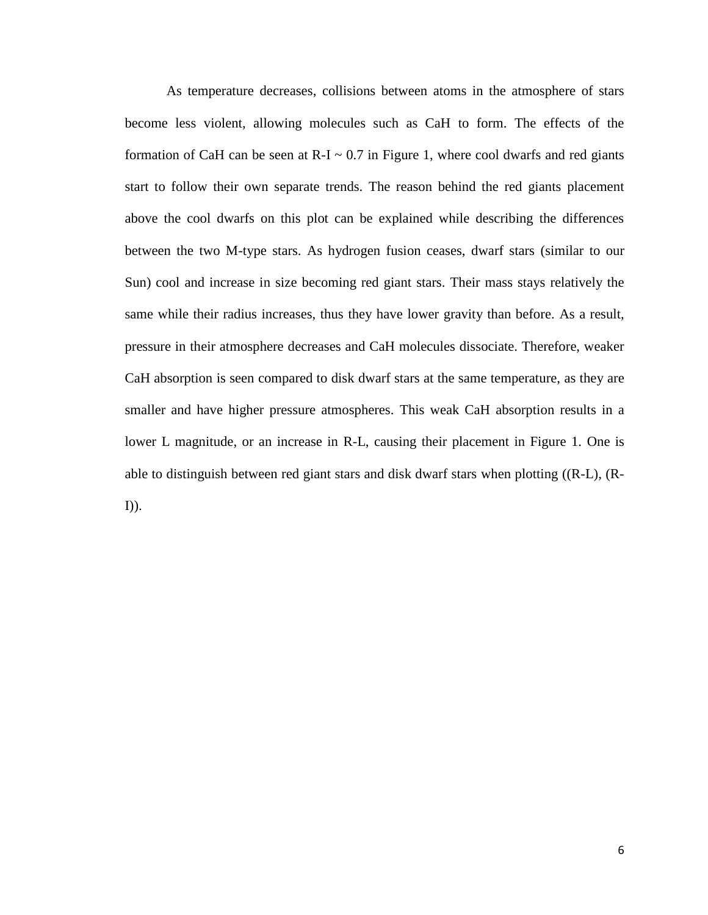As temperature decreases, collisions between atoms in the atmosphere of stars become less violent, allowing molecules such as CaH to form. The effects of the formation of CaH can be seen at  $R-I \sim 0.7$  in Figure 1, where cool dwarfs and red giants start to follow their own separate trends. The reason behind the red giants placement above the cool dwarfs on this plot can be explained while describing the differences between the two M-type stars. As hydrogen fusion ceases, dwarf stars (similar to our Sun) cool and increase in size becoming red giant stars. Their mass stays relatively the same while their radius increases, thus they have lower gravity than before. As a result, pressure in their atmosphere decreases and CaH molecules dissociate. Therefore, weaker CaH absorption is seen compared to disk dwarf stars at the same temperature, as they are smaller and have higher pressure atmospheres. This weak CaH absorption results in a lower L magnitude, or an increase in R-L, causing their placement in Figure 1. One is able to distinguish between red giant stars and disk dwarf stars when plotting ((R-L), (R-I)).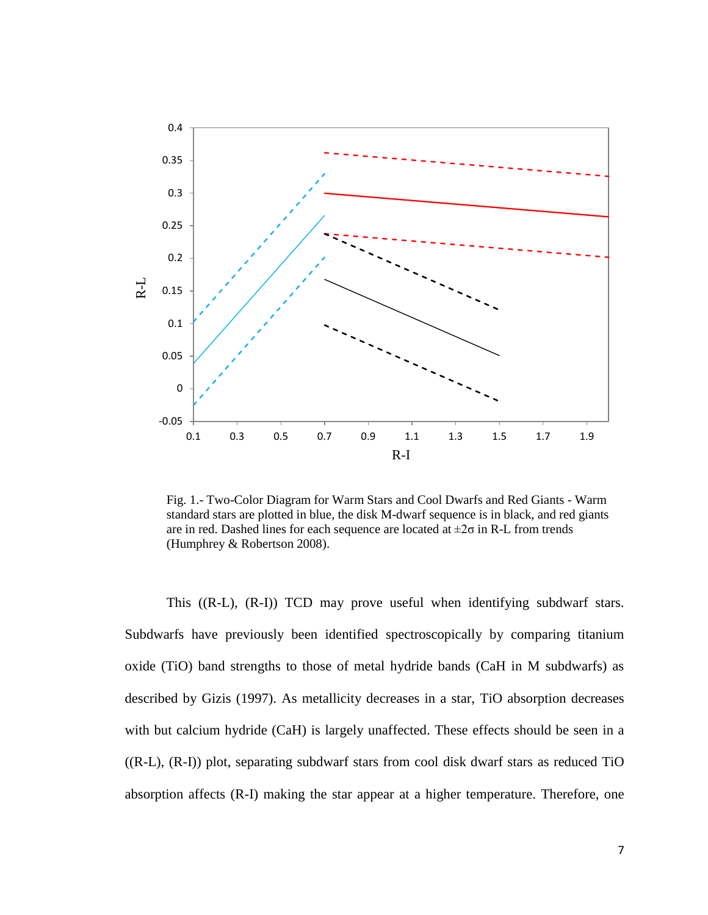

Fig. 1.- Two-Color Diagram for Warm Stars and Cool Dwarfs and Red Giants - Warm standard stars are plotted in blue, the disk M-dwarf sequence is in black, and red giants are in red. Dashed lines for each sequence are located at  $\pm 2\sigma$  in R-L from trends (Humphrey & Robertson 2008).

This ((R-L), (R-I)) TCD may prove useful when identifying subdwarf stars. Subdwarfs have previously been identified spectroscopically by comparing titanium oxide (TiO) band strengths to those of metal hydride bands (CaH in M subdwarfs) as described by Gizis (1997). As metallicity decreases in a star, TiO absorption decreases with but calcium hydride (CaH) is largely unaffected. These effects should be seen in a ((R-L), (R-I)) plot, separating subdwarf stars from cool disk dwarf stars as reduced TiO absorption affects (R-I) making the star appear at a higher temperature. Therefore, one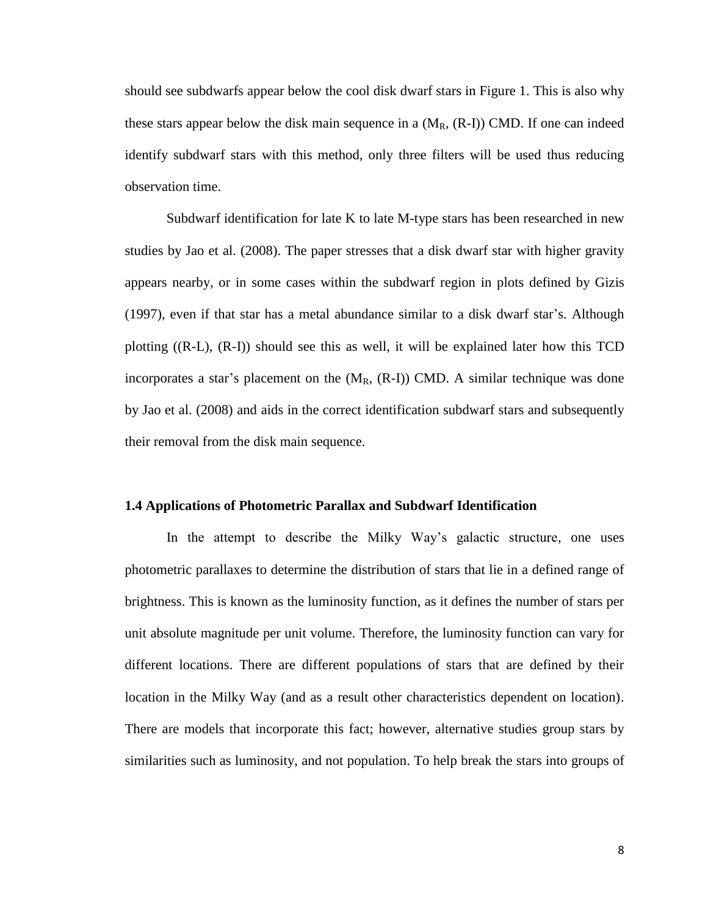should see subdwarfs appear below the cool disk dwarf stars in Figure 1. This is also why these stars appear below the disk main sequence in a  $(M_R, (R-I))$  CMD. If one can indeed identify subdwarf stars with this method, only three filters will be used thus reducing observation time.

Subdwarf identification for late K to late M-type stars has been researched in new studies by Jao et al. (2008). The paper stresses that a disk dwarf star with higher gravity appears nearby, or in some cases within the subdwarf region in plots defined by Gizis (1997), even if that star has a metal abundance similar to a disk dwarf star's. Although plotting ((R-L), (R-I)) should see this as well, it will be explained later how this TCD incorporates a star's placement on the  $(M_R, (R-I))$  CMD. A similar technique was done by Jao et al. (2008) and aids in the correct identification subdwarf stars and subsequently their removal from the disk main sequence.

#### **1.4 Applications of Photometric Parallax and Subdwarf Identification**

In the attempt to describe the Milky Way's galactic structure, one uses photometric parallaxes to determine the distribution of stars that lie in a defined range of brightness. This is known as the luminosity function, as it defines the number of stars per unit absolute magnitude per unit volume. Therefore, the luminosity function can vary for different locations. There are different populations of stars that are defined by their location in the Milky Way (and as a result other characteristics dependent on location). There are models that incorporate this fact; however, alternative studies group stars by similarities such as luminosity, and not population. To help break the stars into groups of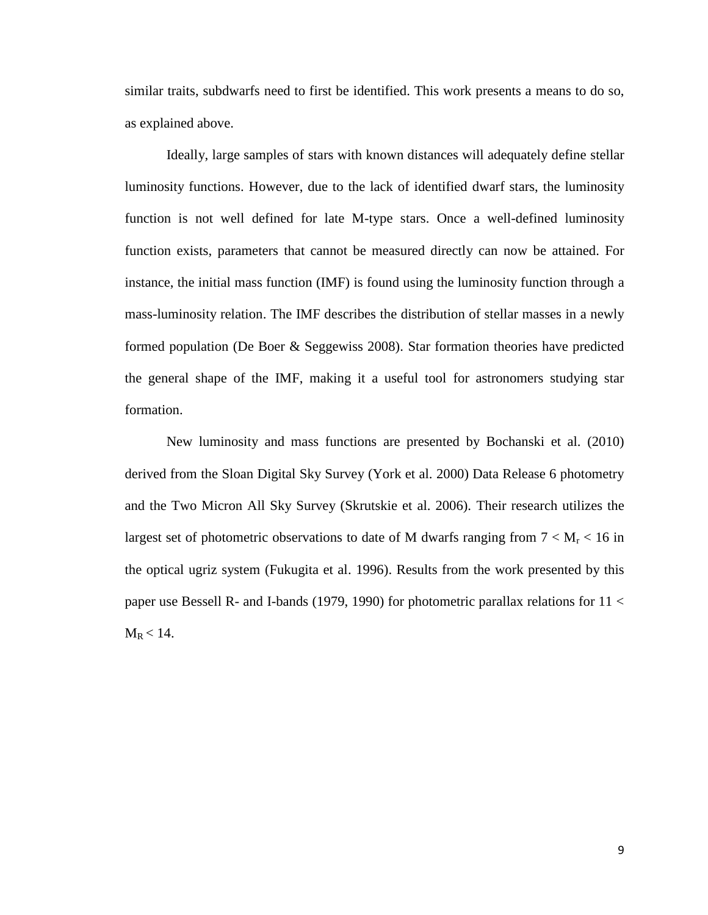similar traits, subdwarfs need to first be identified. This work presents a means to do so, as explained above.

Ideally, large samples of stars with known distances will adequately define stellar luminosity functions. However, due to the lack of identified dwarf stars, the luminosity function is not well defined for late M-type stars. Once a well-defined luminosity function exists, parameters that cannot be measured directly can now be attained. For instance, the initial mass function (IMF) is found using the luminosity function through a mass-luminosity relation. The IMF describes the distribution of stellar masses in a newly formed population (De Boer & Seggewiss 2008). Star formation theories have predicted the general shape of the IMF, making it a useful tool for astronomers studying star formation.

New luminosity and mass functions are presented by Bochanski et al. (2010) derived from the Sloan Digital Sky Survey (York et al. 2000) Data Release 6 photometry and the Two Micron All Sky Survey (Skrutskie et al. 2006). Their research utilizes the largest set of photometric observations to date of M dwarfs ranging from  $7 < M_r < 16$  in the optical ugriz system (Fukugita et al. 1996). Results from the work presented by this paper use Bessell R- and I-bands (1979, 1990) for photometric parallax relations for 11 <  $M_R < 14$ .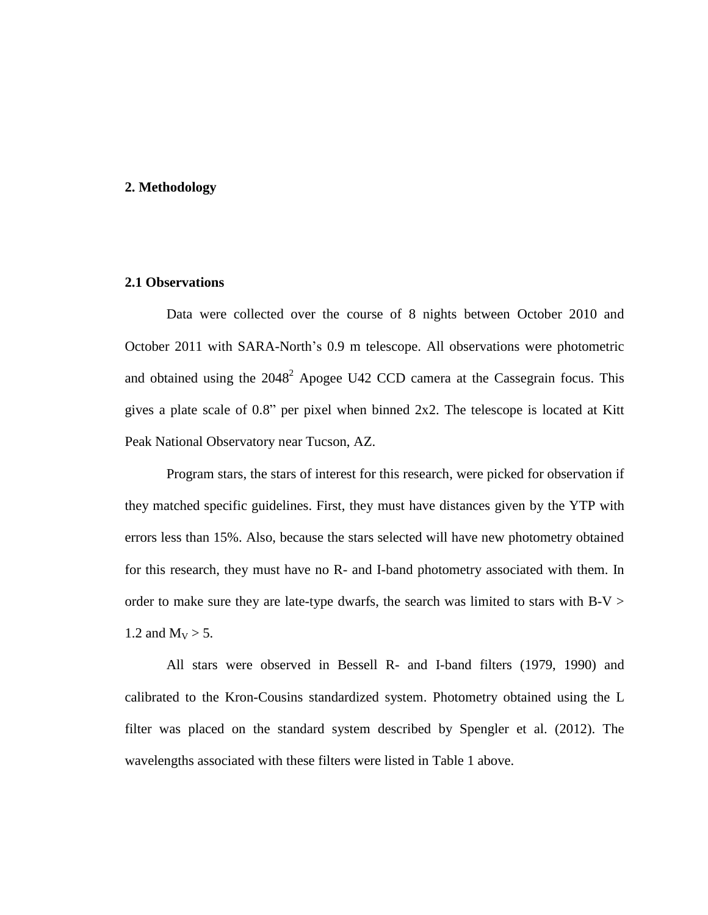#### **2. Methodology**

#### **2.1 Observations**

Data were collected over the course of 8 nights between October 2010 and October 2011 with SARA-North's 0.9 m telescope. All observations were photometric and obtained using the  $2048^2$  Apogee U42 CCD camera at the Cassegrain focus. This gives a plate scale of 0.8" per pixel when binned 2x2. The telescope is located at Kitt Peak National Observatory near Tucson, AZ.

Program stars, the stars of interest for this research, were picked for observation if they matched specific guidelines. First, they must have distances given by the YTP with errors less than 15%. Also, because the stars selected will have new photometry obtained for this research, they must have no R- and I-band photometry associated with them. In order to make sure they are late-type dwarfs, the search was limited to stars with  $B-V > 0$ 1.2 and  $M_V > 5$ .

All stars were observed in Bessell R- and I-band filters (1979, 1990) and calibrated to the Kron-Cousins standardized system. Photometry obtained using the L filter was placed on the standard system described by Spengler et al. (2012). The wavelengths associated with these filters were listed in Table 1 above.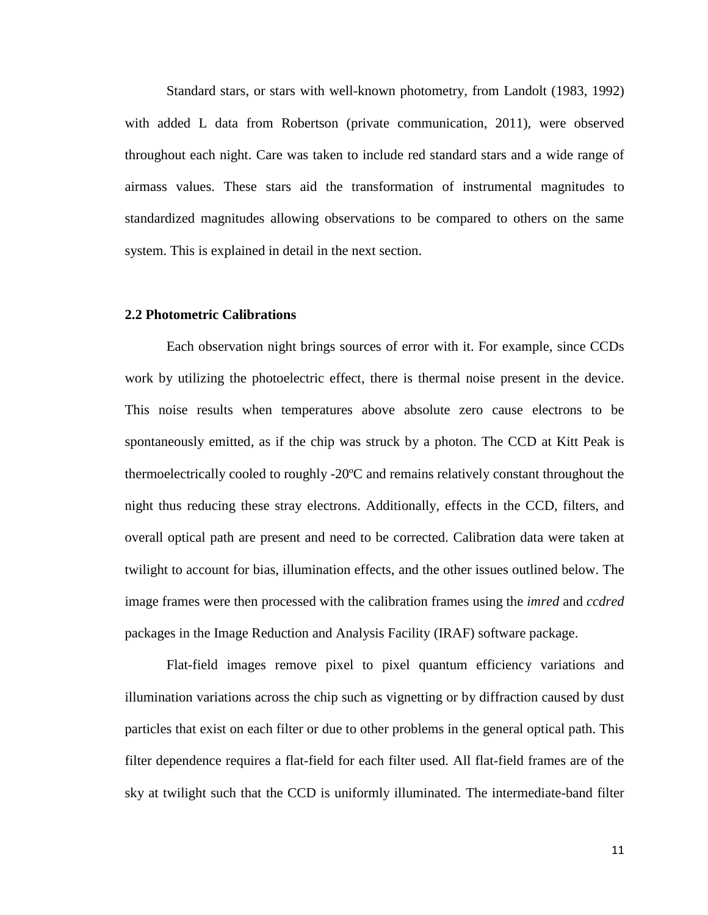Standard stars, or stars with well-known photometry, from Landolt (1983, 1992) with added L data from Robertson (private communication, 2011), were observed throughout each night. Care was taken to include red standard stars and a wide range of airmass values. These stars aid the transformation of instrumental magnitudes to standardized magnitudes allowing observations to be compared to others on the same system. This is explained in detail in the next section.

#### **2.2 Photometric Calibrations**

Each observation night brings sources of error with it. For example, since CCDs work by utilizing the photoelectric effect, there is thermal noise present in the device. This noise results when temperatures above absolute zero cause electrons to be spontaneously emitted, as if the chip was struck by a photon. The CCD at Kitt Peak is thermoelectrically cooled to roughly -20ºC and remains relatively constant throughout the night thus reducing these stray electrons. Additionally, effects in the CCD, filters, and overall optical path are present and need to be corrected. Calibration data were taken at twilight to account for bias, illumination effects, and the other issues outlined below. The image frames were then processed with the calibration frames using the *imred* and *ccdred* packages in the Image Reduction and Analysis Facility (IRAF) software package.

Flat-field images remove pixel to pixel quantum efficiency variations and illumination variations across the chip such as vignetting or by diffraction caused by dust particles that exist on each filter or due to other problems in the general optical path. This filter dependence requires a flat-field for each filter used. All flat-field frames are of the sky at twilight such that the CCD is uniformly illuminated. The intermediate-band filter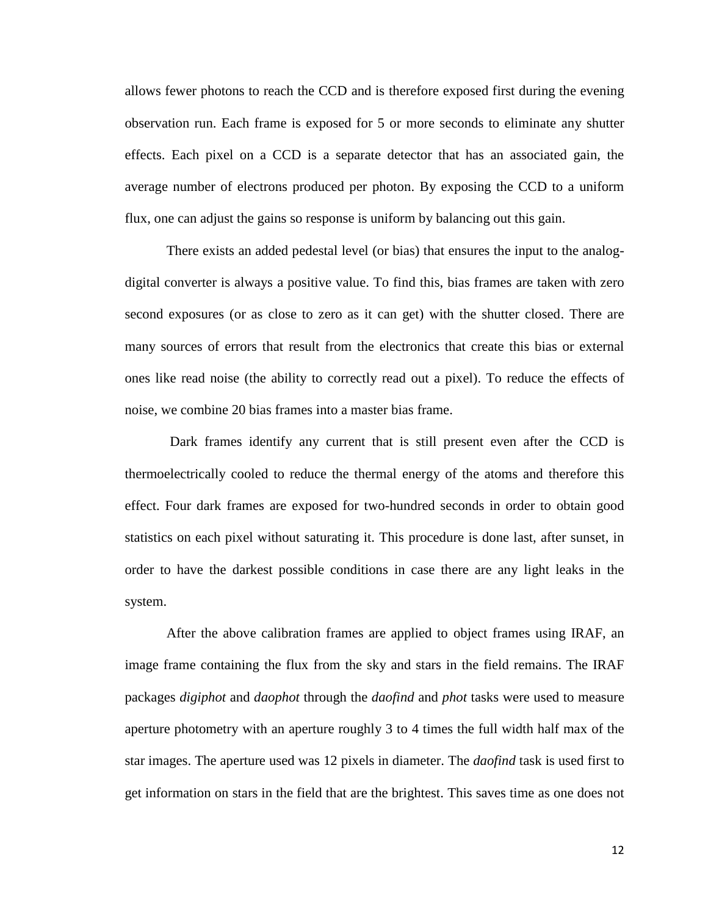allows fewer photons to reach the CCD and is therefore exposed first during the evening observation run. Each frame is exposed for 5 or more seconds to eliminate any shutter effects. Each pixel on a CCD is a separate detector that has an associated gain, the average number of electrons produced per photon. By exposing the CCD to a uniform flux, one can adjust the gains so response is uniform by balancing out this gain.

There exists an added pedestal level (or bias) that ensures the input to the analogdigital converter is always a positive value. To find this, bias frames are taken with zero second exposures (or as close to zero as it can get) with the shutter closed. There are many sources of errors that result from the electronics that create this bias or external ones like read noise (the ability to correctly read out a pixel). To reduce the effects of noise, we combine 20 bias frames into a master bias frame.

Dark frames identify any current that is still present even after the CCD is thermoelectrically cooled to reduce the thermal energy of the atoms and therefore this effect. Four dark frames are exposed for two-hundred seconds in order to obtain good statistics on each pixel without saturating it. This procedure is done last, after sunset, in order to have the darkest possible conditions in case there are any light leaks in the system.

After the above calibration frames are applied to object frames using IRAF, an image frame containing the flux from the sky and stars in the field remains. The IRAF packages *digiphot* and *daophot* through the *daofind* and *phot* tasks were used to measure aperture photometry with an aperture roughly 3 to 4 times the full width half max of the star images. The aperture used was 12 pixels in diameter. The *daofind* task is used first to get information on stars in the field that are the brightest. This saves time as one does not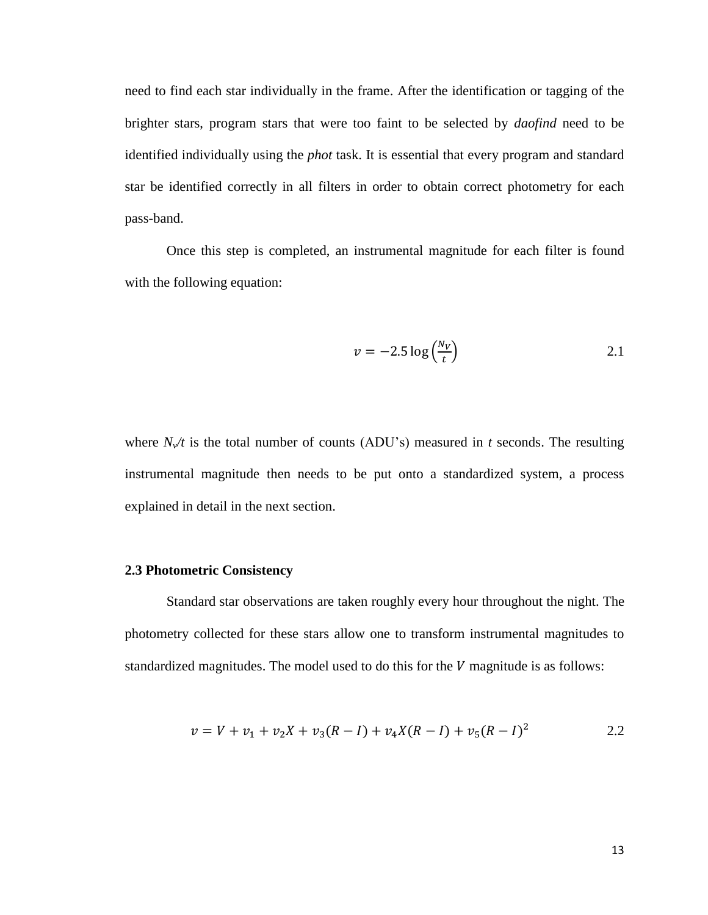need to find each star individually in the frame. After the identification or tagging of the brighter stars, program stars that were too faint to be selected by *daofind* need to be identified individually using the *phot* task. It is essential that every program and standard star be identified correctly in all filters in order to obtain correct photometry for each pass-band.

Once this step is completed, an instrumental magnitude for each filter is found with the following equation:

$$
v = -2.5 \log \left( \frac{N_V}{t} \right) \tag{2.1}
$$

where  $N_v/t$  is the total number of counts (ADU's) measured in *t* seconds. The resulting instrumental magnitude then needs to be put onto a standardized system, a process explained in detail in the next section.

#### **2.3 Photometric Consistency**

Standard star observations are taken roughly every hour throughout the night. The photometry collected for these stars allow one to transform instrumental magnitudes to standardized magnitudes. The model used to do this for the  $V$  magnitude is as follows:

$$
v = V + v_1 + v_2 X + v_3 (R - I) + v_4 X (R - I) + v_5 (R - I)^2
$$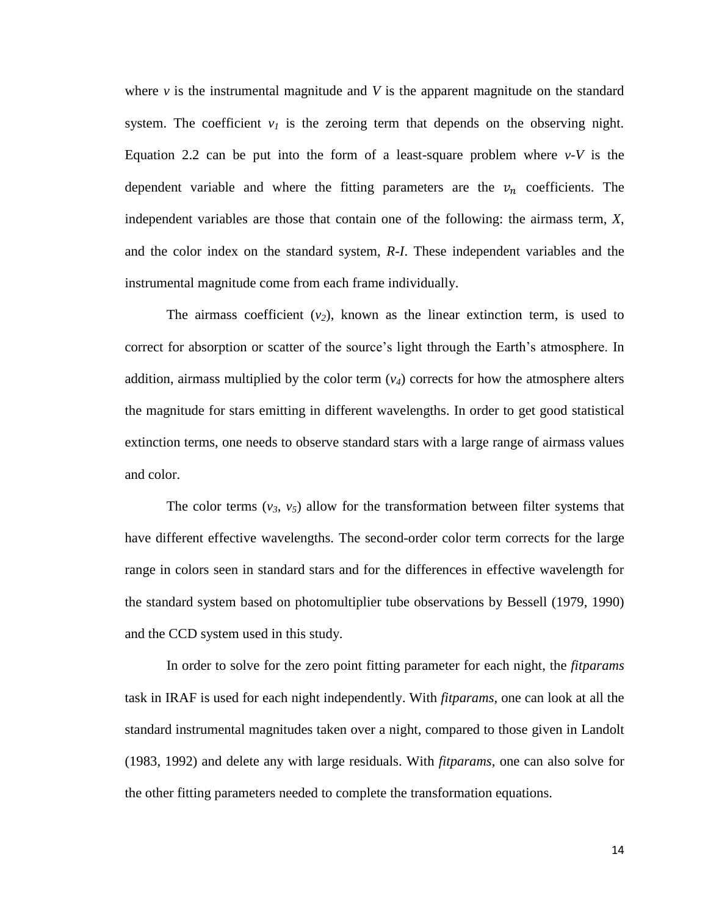where  $\nu$  is the instrumental magnitude and  $V$  is the apparent magnitude on the standard system. The coefficient  $v_I$  is the zeroing term that depends on the observing night. Equation 2.2 can be put into the form of a least-square problem where  $v - V$  is the dependent variable and where the fitting parameters are the  $v_n$  coefficients. The independent variables are those that contain one of the following: the airmass term, *X*, and the color index on the standard system, *R-I*. These independent variables and the instrumental magnitude come from each frame individually.

The airmass coefficient  $(v_2)$ , known as the linear extinction term, is used to correct for absorption or scatter of the source's light through the Earth's atmosphere. In addition, airmass multiplied by the color term  $(v_4)$  corrects for how the atmosphere alters the magnitude for stars emitting in different wavelengths. In order to get good statistical extinction terms, one needs to observe standard stars with a large range of airmass values and color.

The color terms  $(v_3, v_5)$  allow for the transformation between filter systems that have different effective wavelengths. The second-order color term corrects for the large range in colors seen in standard stars and for the differences in effective wavelength for the standard system based on photomultiplier tube observations by Bessell (1979, 1990) and the CCD system used in this study.

In order to solve for the zero point fitting parameter for each night, the *fitparams* task in IRAF is used for each night independently. With *fitparams*, one can look at all the standard instrumental magnitudes taken over a night, compared to those given in Landolt (1983, 1992) and delete any with large residuals. With *fitparams*, one can also solve for the other fitting parameters needed to complete the transformation equations.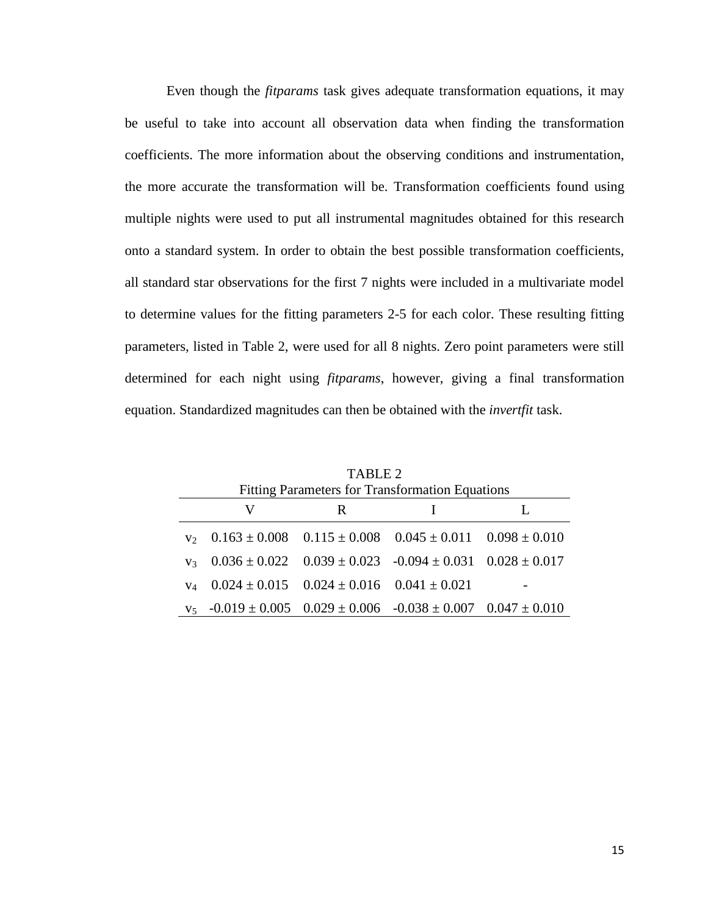Even though the *fitparams* task gives adequate transformation equations, it may be useful to take into account all observation data when finding the transformation coefficients. The more information about the observing conditions and instrumentation, the more accurate the transformation will be. Transformation coefficients found using multiple nights were used to put all instrumental magnitudes obtained for this research onto a standard system. In order to obtain the best possible transformation coefficients, all standard star observations for the first 7 nights were included in a multivariate model to determine values for the fitting parameters 2-5 for each color. These resulting fitting parameters, listed in Table 2, were used for all 8 nights. Zero point parameters were still determined for each night using *fitparams*, however, giving a final transformation equation. Standardized magnitudes can then be obtained with the *invertfit* task.

|                | TABLE 2<br><b>Fitting Parameters for Transformation Equations</b> |   |                                                                          |  |  |  |  |  |  |  |  |  |  |
|----------------|-------------------------------------------------------------------|---|--------------------------------------------------------------------------|--|--|--|--|--|--|--|--|--|--|
|                | V                                                                 | R |                                                                          |  |  |  |  |  |  |  |  |  |  |
|                | $v_2$ 0.163 ± 0.008 0.115 ± 0.008 0.045 ± 0.011 0.098 ± 0.010     |   |                                                                          |  |  |  |  |  |  |  |  |  |  |
| V <sub>3</sub> |                                                                   |   | $0.036 \pm 0.022$ $0.039 \pm 0.023$ $-0.094 \pm 0.031$ $0.028 \pm 0.017$ |  |  |  |  |  |  |  |  |  |  |
| $V_A$          | $0.024 \pm 0.015$ $0.024 \pm 0.016$ $0.041 \pm 0.021$             |   |                                                                          |  |  |  |  |  |  |  |  |  |  |
|                | $v_5$ -0.019 ± 0.005 0.029 ± 0.006 -0.038 ± 0.007 0.047 ± 0.010   |   |                                                                          |  |  |  |  |  |  |  |  |  |  |

 $\equiv$  .  $\equiv$   $\equiv$   $\equiv$   $\equiv$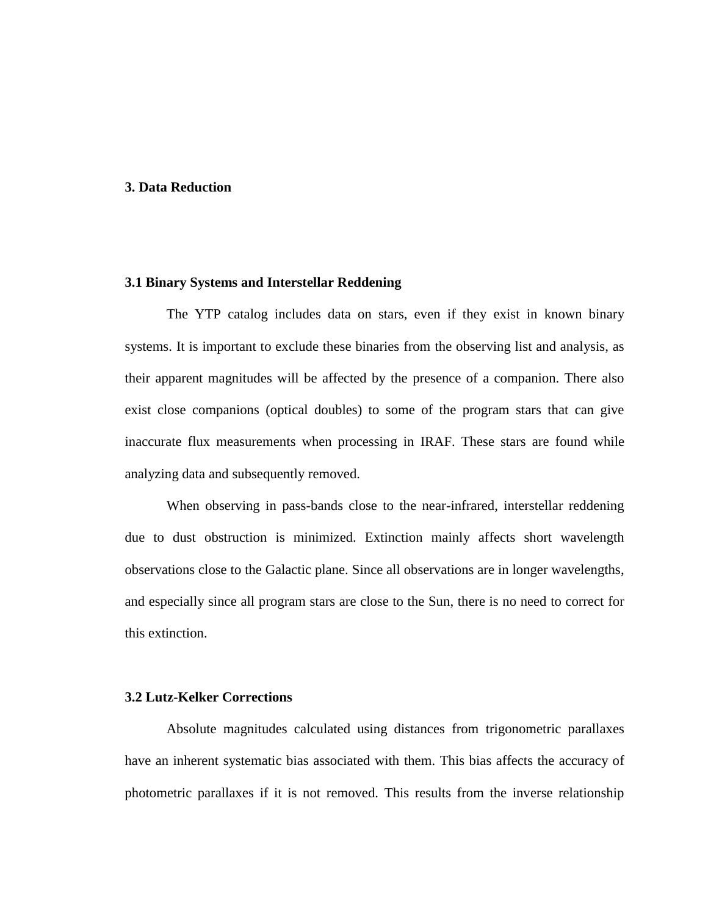#### **3. Data Reduction**

#### **3.1 Binary Systems and Interstellar Reddening**

The YTP catalog includes data on stars, even if they exist in known binary systems. It is important to exclude these binaries from the observing list and analysis, as their apparent magnitudes will be affected by the presence of a companion. There also exist close companions (optical doubles) to some of the program stars that can give inaccurate flux measurements when processing in IRAF. These stars are found while analyzing data and subsequently removed.

When observing in pass-bands close to the near-infrared, interstellar reddening due to dust obstruction is minimized. Extinction mainly affects short wavelength observations close to the Galactic plane. Since all observations are in longer wavelengths, and especially since all program stars are close to the Sun, there is no need to correct for this extinction.

#### **3.2 Lutz-Kelker Corrections**

Absolute magnitudes calculated using distances from trigonometric parallaxes have an inherent systematic bias associated with them. This bias affects the accuracy of photometric parallaxes if it is not removed. This results from the inverse relationship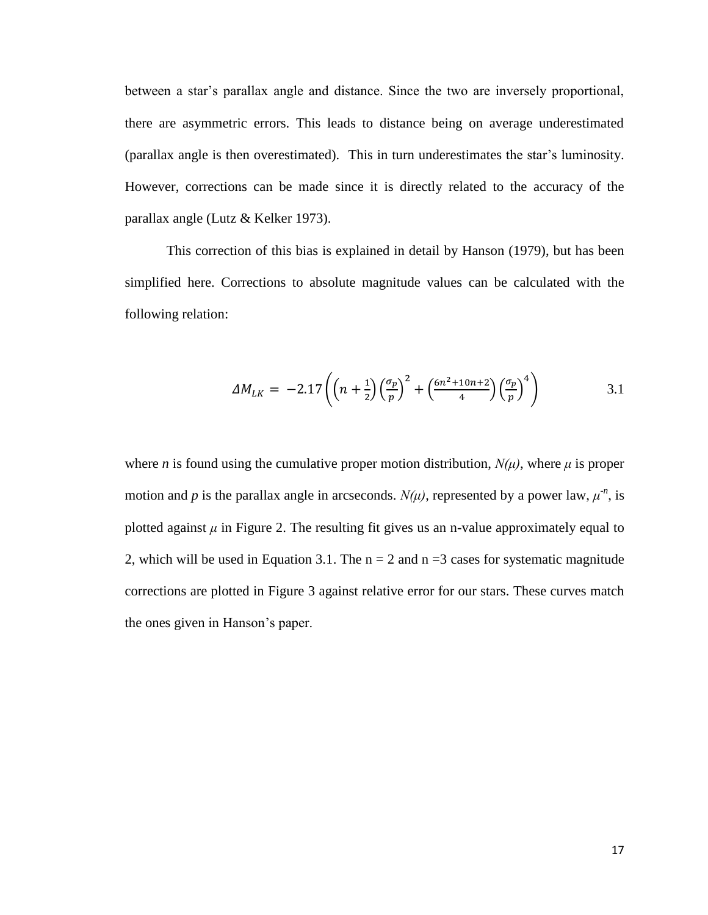between a star's parallax angle and distance. Since the two are inversely proportional, there are asymmetric errors. This leads to distance being on average underestimated (parallax angle is then overestimated). This in turn underestimates the star's luminosity. However, corrections can be made since it is directly related to the accuracy of the parallax angle (Lutz & Kelker 1973).

This correction of this bias is explained in detail by Hanson (1979), but has been simplified here. Corrections to absolute magnitude values can be calculated with the following relation:

$$
\Delta M_{LK} = -2.17 \left( \left( n + \frac{1}{2} \right) \left( \frac{\sigma_p}{p} \right)^2 + \left( \frac{6n^2 + 10n + 2}{4} \right) \left( \frac{\sigma_p}{p} \right)^4 \right) \tag{3.1}
$$

where *n* is found using the cumulative proper motion distribution,  $N(\mu)$ , where  $\mu$  is proper motion and *p* is the parallax angle in arcseconds.  $N(\mu)$ , represented by a power law,  $\mu^n$ , is plotted against  $\mu$  in Figure 2. The resulting fit gives us an n-value approximately equal to 2, which will be used in Equation 3.1. The  $n = 2$  and  $n = 3$  cases for systematic magnitude corrections are plotted in Figure 3 against relative error for our stars. These curves match the ones given in Hanson's paper.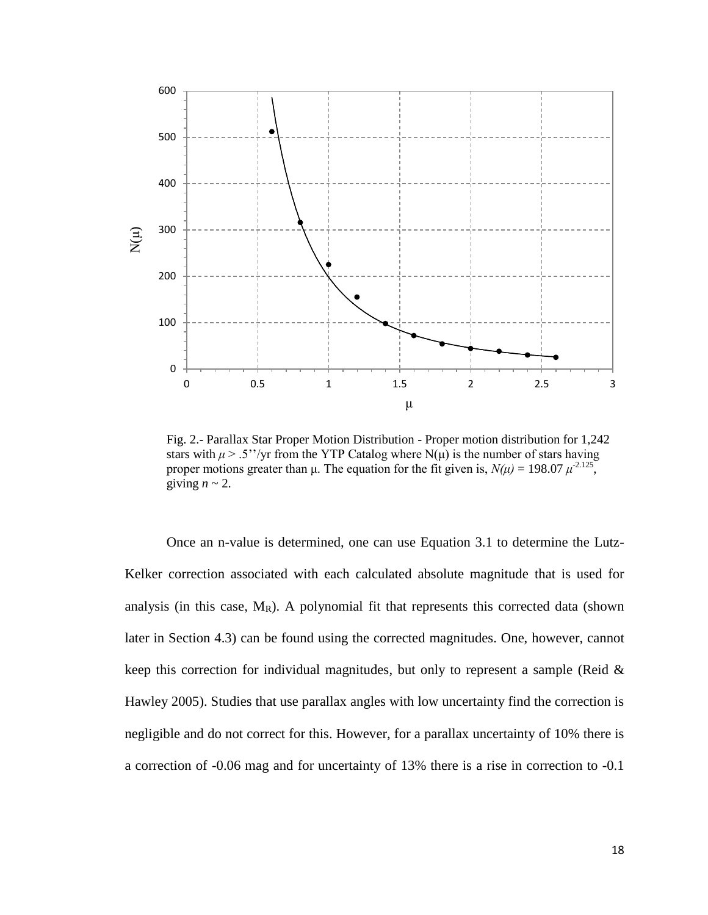

Fig. 2.- Parallax Star Proper Motion Distribution - Proper motion distribution for 1,242 stars with  $\mu > 0.5''/\text{yr}$  from the YTP Catalog where N(u) is the number of stars having proper motions greater than  $\mu$ . The equation for the fit given is,  $N(\mu) = 198.07 \mu^{2.125}$ , giving  $n \sim 2$ .

Once an n-value is determined, one can use Equation 3.1 to determine the Lutz-Kelker correction associated with each calculated absolute magnitude that is used for analysis (in this case,  $M_R$ ). A polynomial fit that represents this corrected data (shown later in Section 4.3) can be found using the corrected magnitudes. One, however, cannot keep this correction for individual magnitudes, but only to represent a sample (Reid & Hawley 2005). Studies that use parallax angles with low uncertainty find the correction is negligible and do not correct for this. However, for a parallax uncertainty of 10% there is a correction of -0.06 mag and for uncertainty of 13% there is a rise in correction to -0.1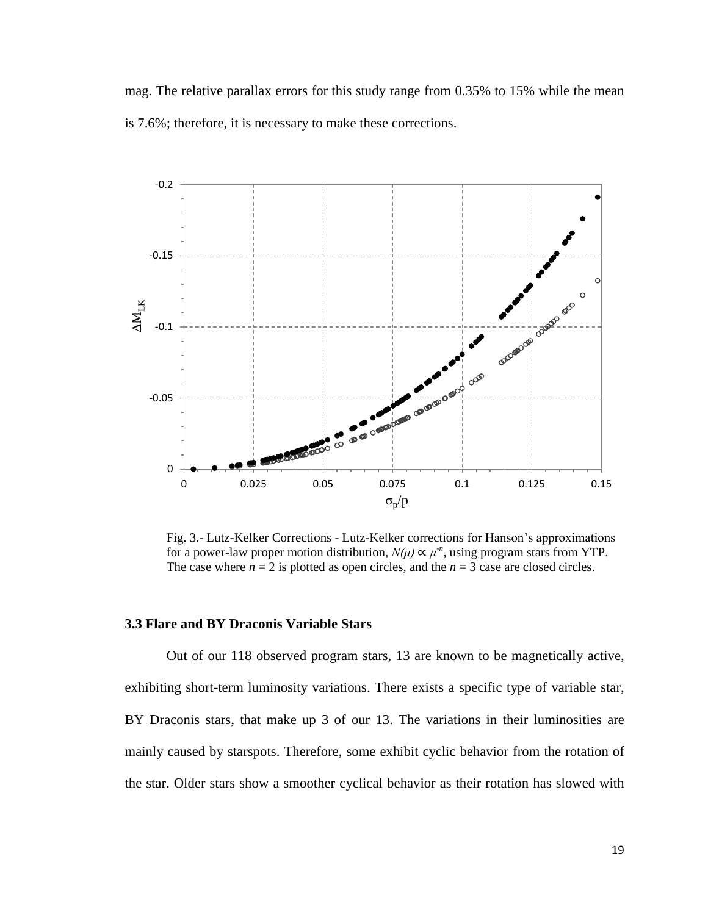mag. The relative parallax errors for this study range from 0.35% to 15% while the mean is 7.6%; therefore, it is necessary to make these corrections.



Fig. 3.- Lutz-Kelker Corrections - Lutz-Kelker corrections for Hanson's approximations for a power-law proper motion distribution,  $N(\mu) \propto \mu^n$ , using program stars from YTP. The case where  $n = 2$  is plotted as open circles, and the  $n = 3$  case are closed circles.

#### **3.3 Flare and BY Draconis Variable Stars**

Out of our 118 observed program stars, 13 are known to be magnetically active, exhibiting short-term luminosity variations. There exists a specific type of variable star, BY Draconis stars, that make up 3 of our 13. The variations in their luminosities are mainly caused by starspots. Therefore, some exhibit cyclic behavior from the rotation of the star. Older stars show a smoother cyclical behavior as their rotation has slowed with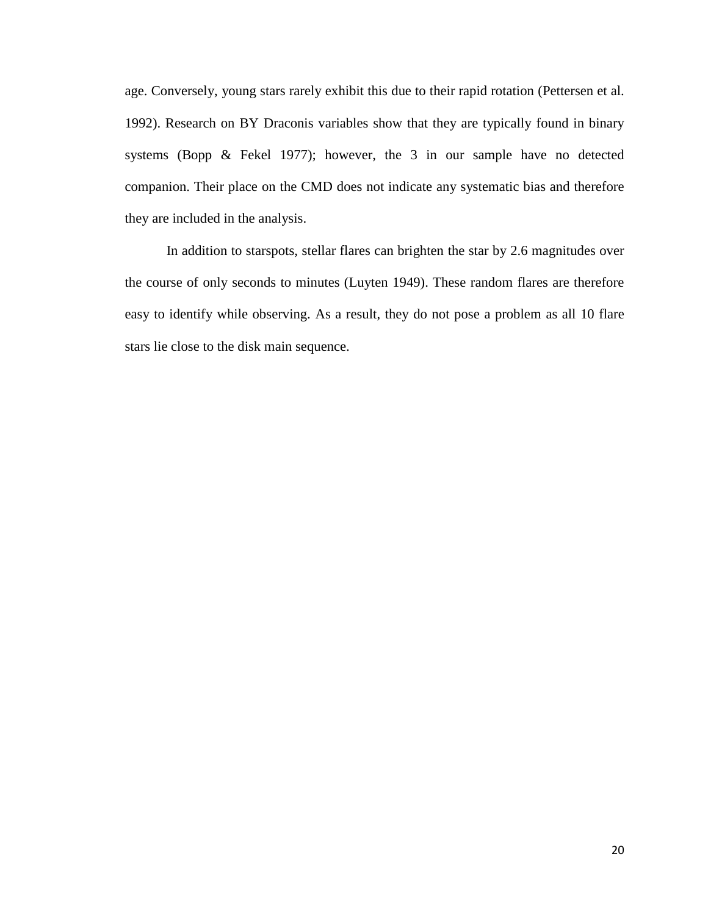age. Conversely, young stars rarely exhibit this due to their rapid rotation (Pettersen et al. 1992). Research on BY Draconis variables show that they are typically found in binary systems (Bopp & Fekel 1977); however, the 3 in our sample have no detected companion. Their place on the CMD does not indicate any systematic bias and therefore they are included in the analysis.

In addition to starspots, stellar flares can brighten the star by 2.6 magnitudes over the course of only seconds to minutes (Luyten 1949). These random flares are therefore easy to identify while observing. As a result, they do not pose a problem as all 10 flare stars lie close to the disk main sequence.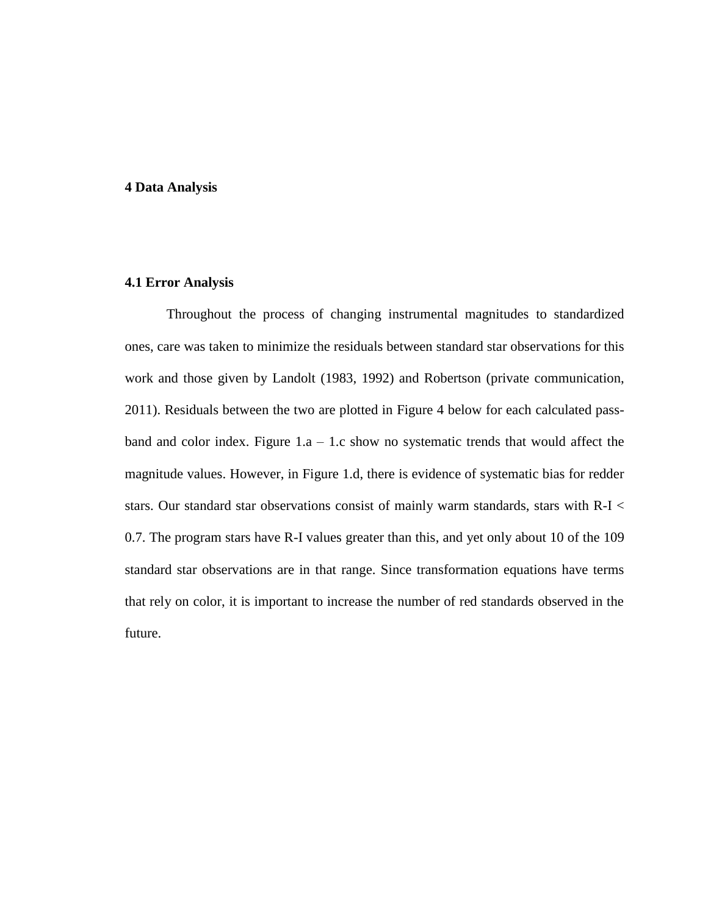#### **4 Data Analysis**

#### **4.1 Error Analysis**

Throughout the process of changing instrumental magnitudes to standardized ones, care was taken to minimize the residuals between standard star observations for this work and those given by Landolt (1983, 1992) and Robertson (private communication, 2011). Residuals between the two are plotted in Figure 4 below for each calculated passband and color index. Figure  $1.a - 1.c$  show no systematic trends that would affect the magnitude values. However, in Figure 1.d, there is evidence of systematic bias for redder stars. Our standard star observations consist of mainly warm standards, stars with R-I < 0.7. The program stars have R-I values greater than this, and yet only about 10 of the 109 standard star observations are in that range. Since transformation equations have terms that rely on color, it is important to increase the number of red standards observed in the future.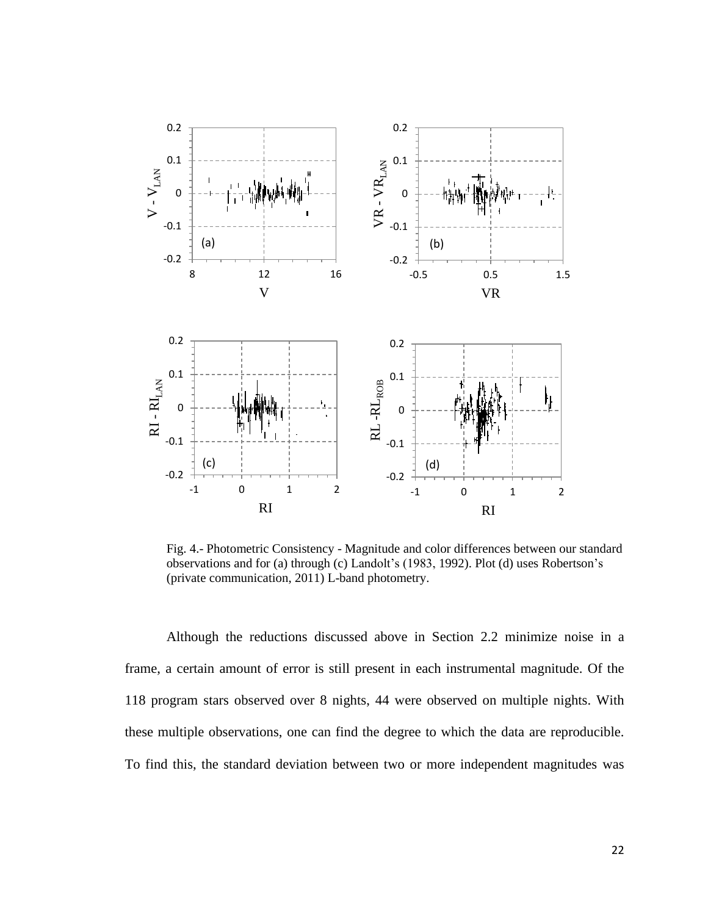

Fig. 4.- Photometric Consistency - Magnitude and color differences between our standard observations and for (a) through (c) Landolt's (1983, 1992). Plot (d) uses Robertson's (private communication, 2011) L-band photometry.

Although the reductions discussed above in Section 2.2 minimize noise in a frame, a certain amount of error is still present in each instrumental magnitude. Of the 118 program stars observed over 8 nights, 44 were observed on multiple nights. With these multiple observations, one can find the degree to which the data are reproducible. To find this, the standard deviation between two or more independent magnitudes was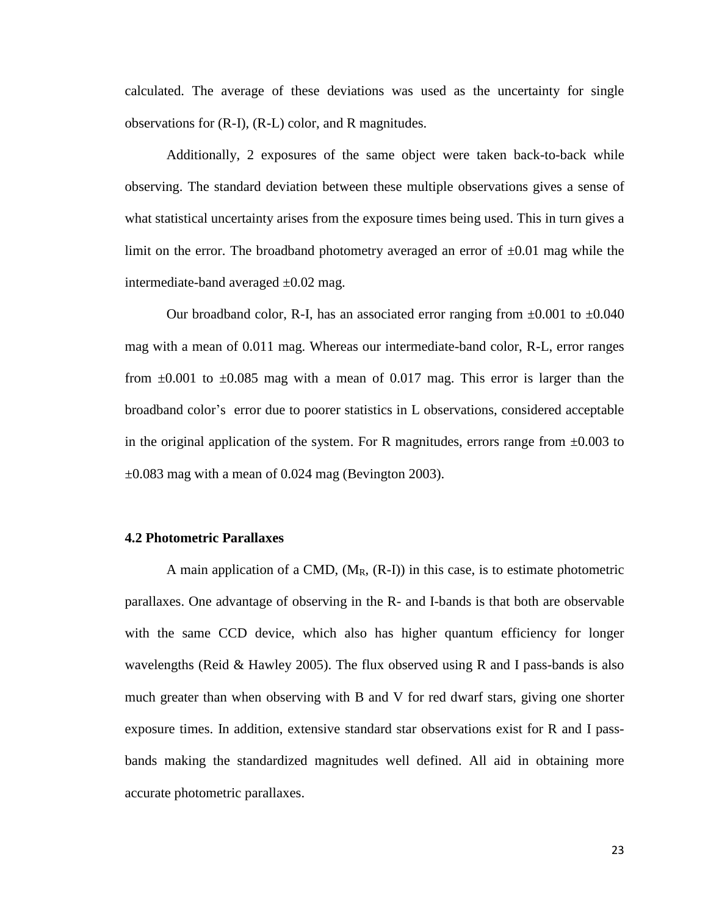calculated. The average of these deviations was used as the uncertainty for single observations for (R-I), (R-L) color, and R magnitudes.

Additionally, 2 exposures of the same object were taken back-to-back while observing. The standard deviation between these multiple observations gives a sense of what statistical uncertainty arises from the exposure times being used. This in turn gives a limit on the error. The broadband photometry averaged an error of  $\pm 0.01$  mag while the intermediate-band averaged  $\pm 0.02$  mag.

Our broadband color, R-I, has an associated error ranging from  $\pm 0.001$  to  $\pm 0.040$ mag with a mean of 0.011 mag. Whereas our intermediate-band color, R-L, error ranges from  $\pm 0.001$  to  $\pm 0.085$  mag with a mean of 0.017 mag. This error is larger than the broadband color's error due to poorer statistics in L observations, considered acceptable in the original application of the system. For R magnitudes, errors range from  $\pm 0.003$  to  $\pm 0.083$  mag with a mean of 0.024 mag (Bevington 2003).

#### **4.2 Photometric Parallaxes**

A main application of a CMD,  $(M_R, (R-I))$  in this case, is to estimate photometric parallaxes. One advantage of observing in the R- and I-bands is that both are observable with the same CCD device, which also has higher quantum efficiency for longer wavelengths (Reid & Hawley 2005). The flux observed using R and I pass-bands is also much greater than when observing with B and V for red dwarf stars, giving one shorter exposure times. In addition, extensive standard star observations exist for R and I passbands making the standardized magnitudes well defined. All aid in obtaining more accurate photometric parallaxes.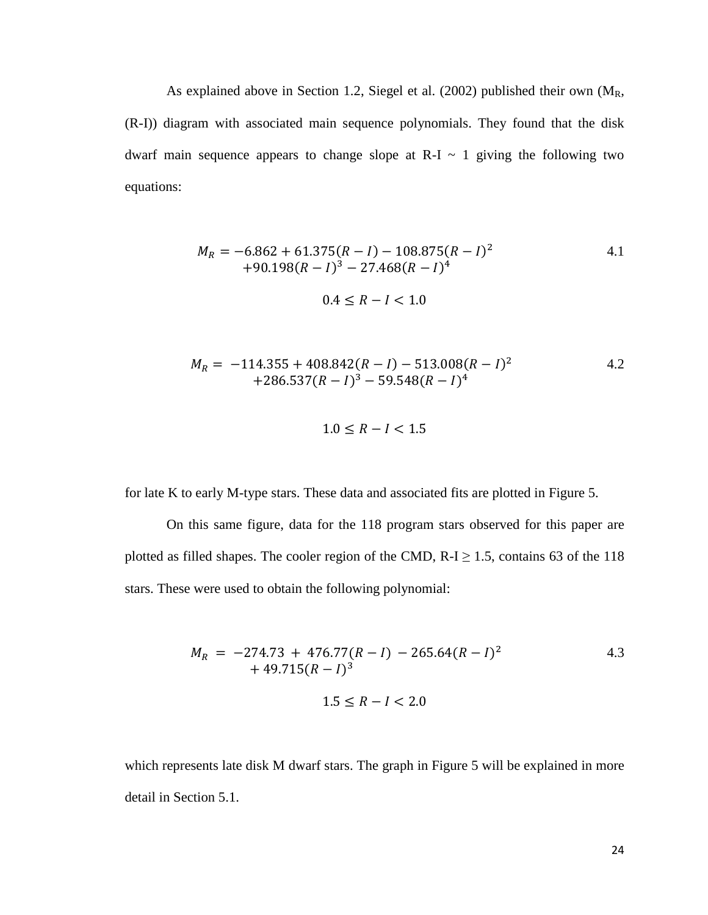As explained above in Section 1.2, Siegel et al. (2002) published their own (MR, (R-I)) diagram with associated main sequence polynomials. They found that the disk dwarf main sequence appears to change slope at  $R-I \sim 1$  giving the following two equations:

$$
M_R = -6.862 + 61.375(R - I) - 108.875(R - I)^2
$$
  
+90.198(R – I)<sup>3</sup> – 27.468(R – I)<sup>4</sup>  
0.4 ≤ R – I < 1.0

$$
M_R = -114.355 + 408.842(R - I) - 513.008(R - I)^2
$$
  
+286.537(R – I)<sup>3</sup> – 59.548(R – I)<sup>4</sup>

$$
1.0 \leq R - l < 1.5
$$

for late K to early M-type stars. These data and associated fits are plotted in Figure 5.

On this same figure, data for the 118 program stars observed for this paper are plotted as filled shapes. The cooler region of the CMD,  $R-I \ge 1.5$ , contains 63 of the 118 stars. These were used to obtain the following polynomial:

$$
M_R = -274.73 + 476.77(R - I) - 265.64(R - I)^2
$$
  
+ 49.715(R - I)<sup>3</sup>  

$$
1.5 \le R - I < 2.0
$$

which represents late disk M dwarf stars. The graph in Figure 5 will be explained in more detail in Section 5.1.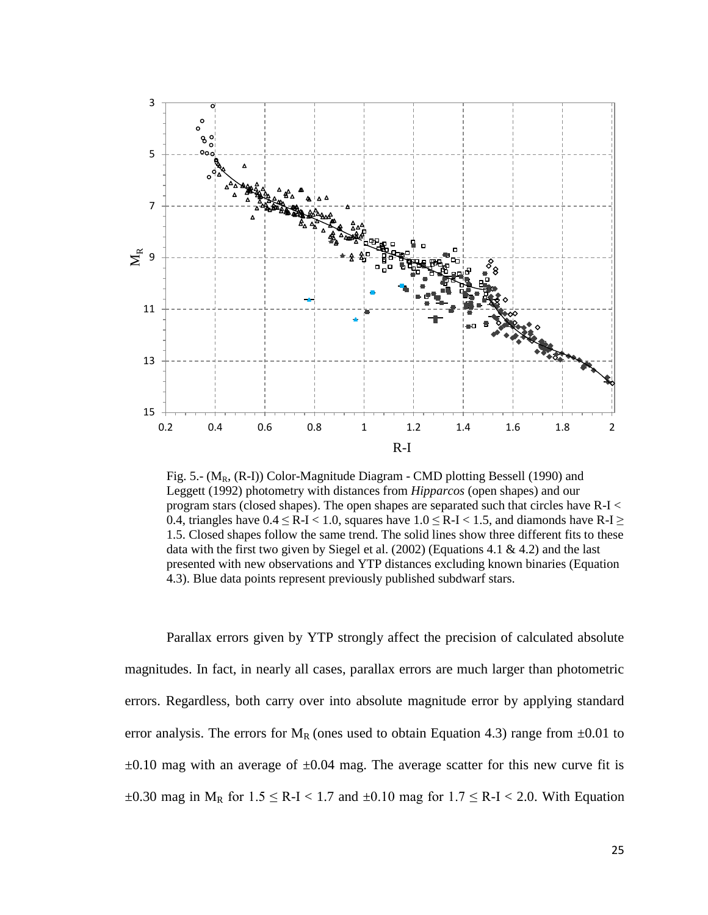

Fig. 5.-  $(M_R, (R-I))$  Color-Magnitude Diagram - CMD plotting Bessell (1990) and Leggett (1992) photometry with distances from *Hipparcos* (open shapes) and our program stars (closed shapes). The open shapes are separated such that circles have R-I < 0.4, triangles have  $0.4 \leq R-I < 1.0$ , squares have  $1.0 \leq R-I < 1.5$ , and diamonds have  $R-I \geq$ 1.5. Closed shapes follow the same trend. The solid lines show three different fits to these data with the first two given by Siegel et al. (2002) (Equations 4.1 & 4.2) and the last presented with new observations and YTP distances excluding known binaries (Equation 4.3). Blue data points represent previously published subdwarf stars.

Parallax errors given by YTP strongly affect the precision of calculated absolute magnitudes. In fact, in nearly all cases, parallax errors are much larger than photometric errors. Regardless, both carry over into absolute magnitude error by applying standard error analysis. The errors for  $M_R$  (ones used to obtain Equation 4.3) range from  $\pm 0.01$  to  $\pm 0.10$  mag with an average of  $\pm 0.04$  mag. The average scatter for this new curve fit is  $\pm 0.30$  mag in M<sub>R</sub> for  $1.5 \le R$ -I < 1.7 and  $\pm 0.10$  mag for  $1.7 \le R$ -I < 2.0. With Equation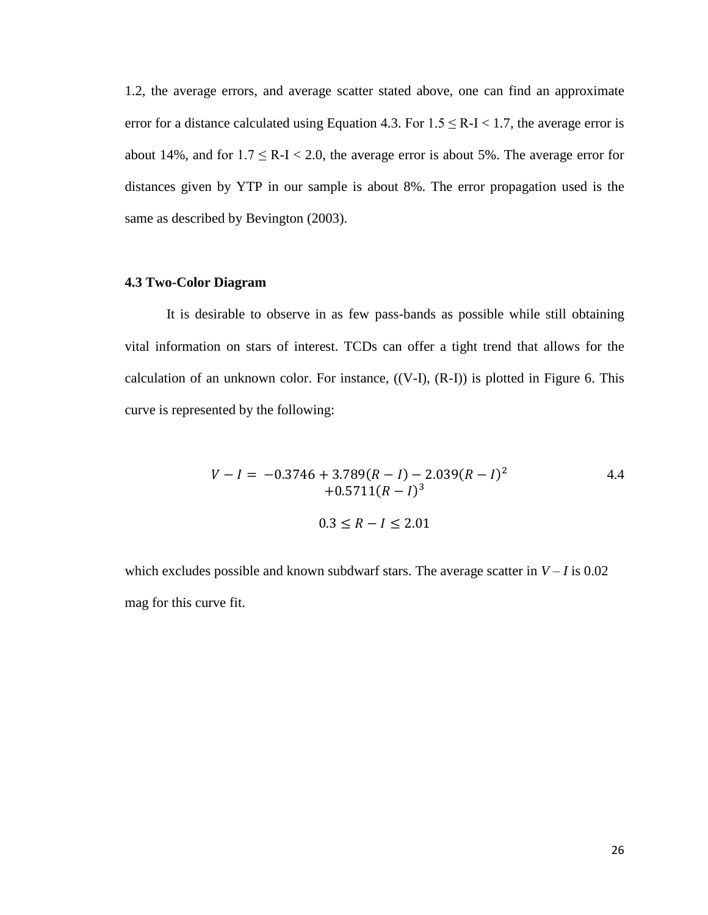1.2, the average errors, and average scatter stated above, one can find an approximate error for a distance calculated using Equation 4.3. For  $1.5 \leq R-I < 1.7$ , the average error is about 14%, and for  $1.7 \le R-I < 2.0$ , the average error is about 5%. The average error for distances given by YTP in our sample is about 8%. The error propagation used is the same as described by Bevington (2003).

## **4.3 Two-Color Diagram**

It is desirable to observe in as few pass-bands as possible while still obtaining vital information on stars of interest. TCDs can offer a tight trend that allows for the calculation of an unknown color. For instance, ((V-I), (R-I)) is plotted in Figure 6. This curve is represented by the following:

$$
V - I = -0.3746 + 3.789(R - I) - 2.039(R - I)^{2}
$$
  
+0.5711(R - I)<sup>3</sup>  

$$
0.3 \le R - I \le 2.01
$$

which excludes possible and known subdwarf stars. The average scatter in  $V - I$  is 0.02 mag for this curve fit.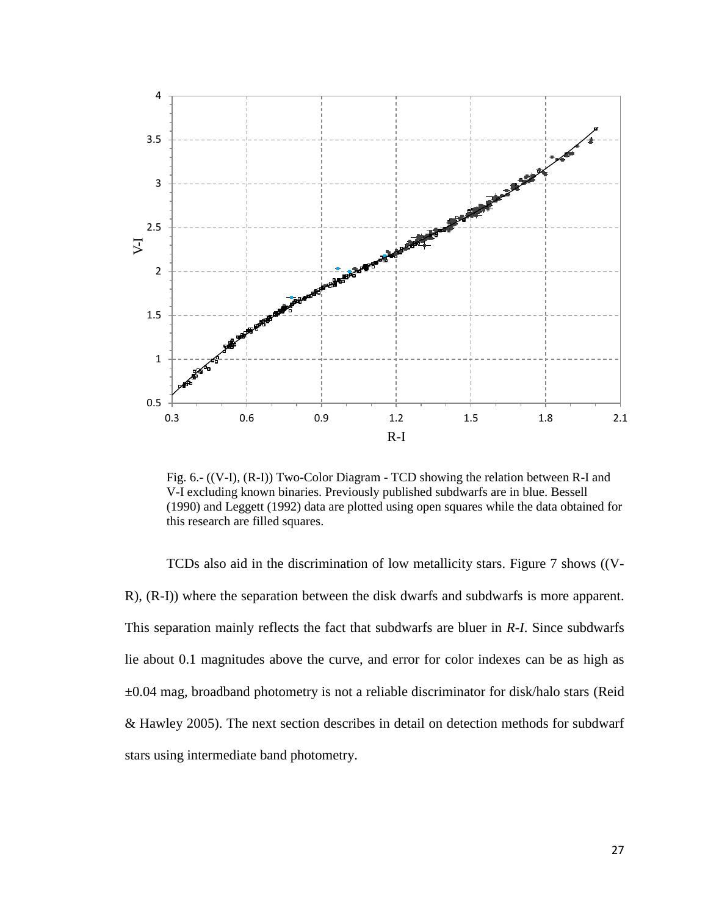

Fig. 6.- ((V-I), (R-I)) Two-Color Diagram - TCD showing the relation between R-I and V-I excluding known binaries. Previously published subdwarfs are in blue. Bessell (1990) and Leggett (1992) data are plotted using open squares while the data obtained for this research are filled squares.

TCDs also aid in the discrimination of low metallicity stars. Figure 7 shows ((V-R), (R-I)) where the separation between the disk dwarfs and subdwarfs is more apparent. This separation mainly reflects the fact that subdwarfs are bluer in *R-I*. Since subdwarfs lie about 0.1 magnitudes above the curve, and error for color indexes can be as high as ±0.04 mag, broadband photometry is not a reliable discriminator for disk/halo stars (Reid & Hawley 2005). The next section describes in detail on detection methods for subdwarf stars using intermediate band photometry.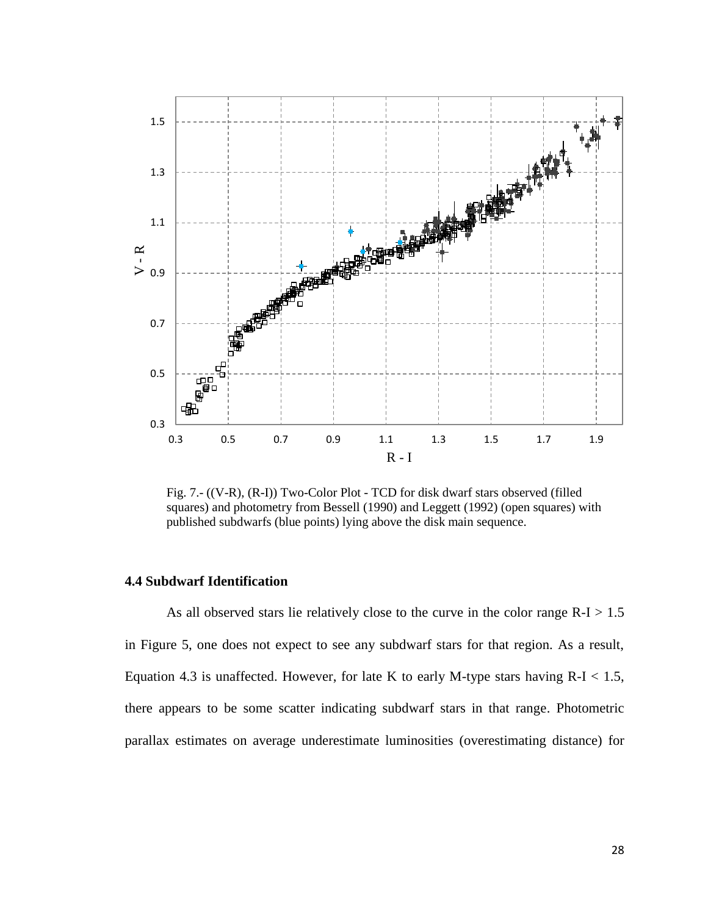

Fig. 7.- ((V-R), (R-I)) Two-Color Plot - TCD for disk dwarf stars observed (filled squares) and photometry from Bessell (1990) and Leggett (1992) (open squares) with published subdwarfs (blue points) lying above the disk main sequence.

## **4.4 Subdwarf Identification**

As all observed stars lie relatively close to the curve in the color range  $R-I > 1.5$ in Figure 5, one does not expect to see any subdwarf stars for that region. As a result, Equation 4.3 is unaffected. However, for late K to early M-type stars having  $R-I < 1.5$ , there appears to be some scatter indicating subdwarf stars in that range. Photometric parallax estimates on average underestimate luminosities (overestimating distance) for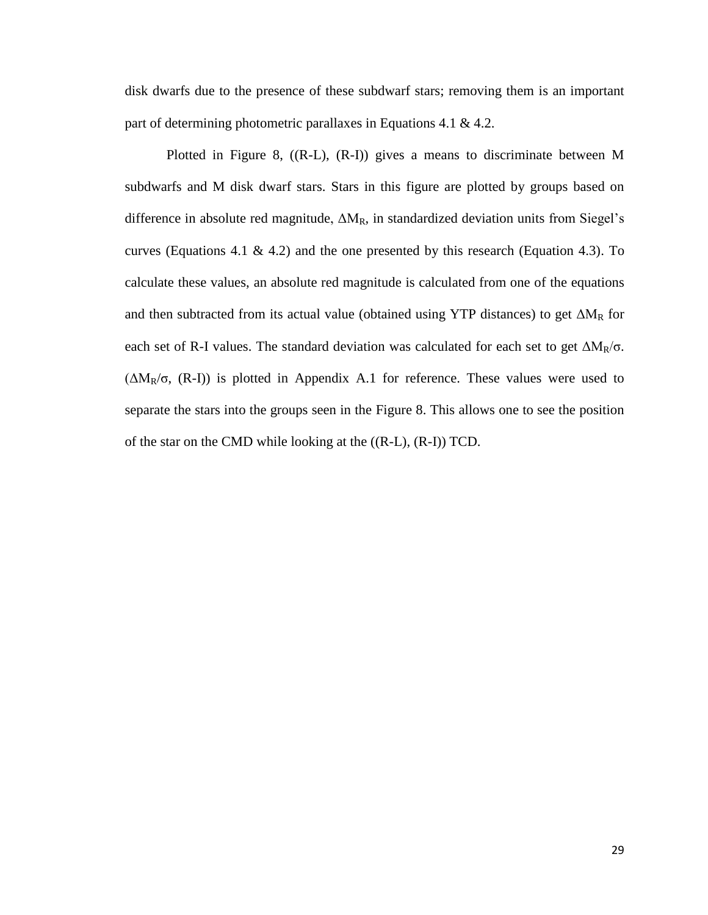disk dwarfs due to the presence of these subdwarf stars; removing them is an important part of determining photometric parallaxes in Equations 4.1 & 4.2.

Plotted in Figure 8, ((R-L), (R-I)) gives a means to discriminate between M subdwarfs and M disk dwarf stars. Stars in this figure are plotted by groups based on difference in absolute red magnitude,  $\Delta M_R$ , in standardized deviation units from Siegel's curves (Equations 4.1 & 4.2) and the one presented by this research (Equation 4.3). To calculate these values, an absolute red magnitude is calculated from one of the equations and then subtracted from its actual value (obtained using YTP distances) to get  $\Delta M_R$  for each set of R-I values. The standard deviation was calculated for each set to get  $\Delta M_R/\sigma$ . ( $\Delta M_R/\sigma$ , (R-I)) is plotted in Appendix A.1 for reference. These values were used to separate the stars into the groups seen in the Figure 8. This allows one to see the position of the star on the CMD while looking at the ((R-L), (R-I)) TCD.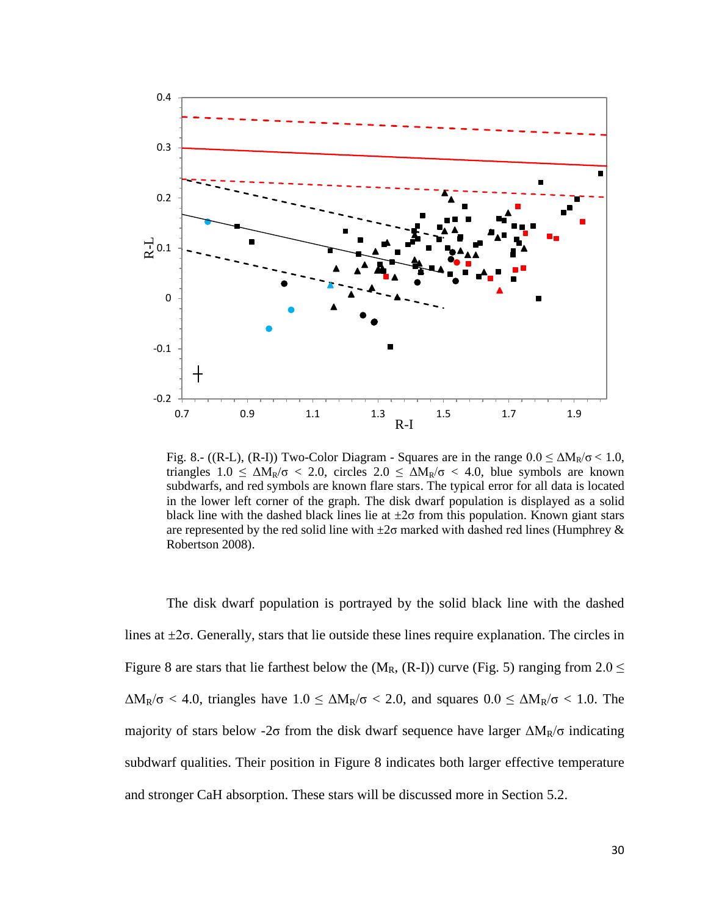

Fig. 8.- ((R-L), (R-I)) Two-Color Diagram - Squares are in the range  $0.0 \leq \Delta M_R/\sigma < 1.0$ , triangles  $1.0 \leq \Delta M_R/\sigma < 2.0$ , circles  $2.0 \leq \Delta M_R/\sigma < 4.0$ , blue symbols are known subdwarfs, and red symbols are known flare stars. The typical error for all data is located in the lower left corner of the graph. The disk dwarf population is displayed as a solid black line with the dashed black lines lie at  $\pm 2\sigma$  from this population. Known giant stars are represented by the red solid line with  $\pm 2\sigma$  marked with dashed red lines (Humphrey & Robertson 2008).

The disk dwarf population is portrayed by the solid black line with the dashed lines at  $\pm 2\sigma$ . Generally, stars that lie outside these lines require explanation. The circles in Figure 8 are stars that lie farthest below the  $(M_R, (R-I))$  curve (Fig. 5) ranging from  $2.0 \le$  $\Delta M_R/\sigma$  < 4.0, triangles have  $1.0 \leq \Delta M_R/\sigma$  < 2.0, and squares  $0.0 \leq \Delta M_R/\sigma$  < 1.0. The majority of stars below -2σ from the disk dwarf sequence have larger  $\Delta M_R/\sigma$  indicating subdwarf qualities. Their position in Figure 8 indicates both larger effective temperature and stronger CaH absorption. These stars will be discussed more in Section 5.2.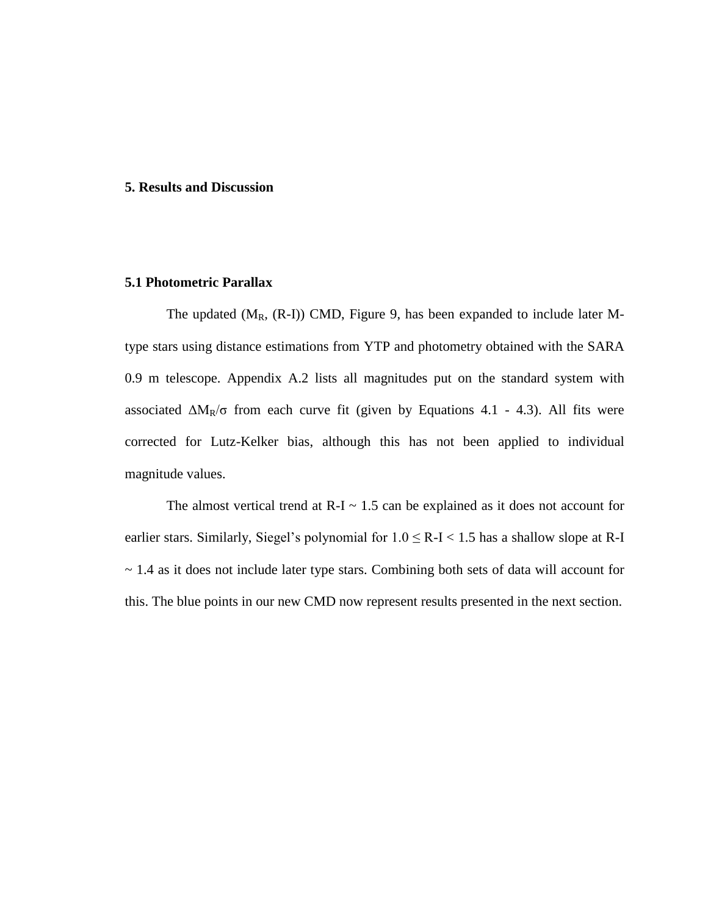#### **5. Results and Discussion**

## **5.1 Photometric Parallax**

The updated  $(M_R, (R-I))$  CMD, Figure 9, has been expanded to include later Mtype stars using distance estimations from YTP and photometry obtained with the SARA 0.9 m telescope. Appendix A.2 lists all magnitudes put on the standard system with associated  $\Delta M_R/\sigma$  from each curve fit (given by Equations 4.1 - 4.3). All fits were corrected for Lutz-Kelker bias, although this has not been applied to individual magnitude values.

The almost vertical trend at  $R-I \sim 1.5$  can be explained as it does not account for earlier stars. Similarly, Siegel's polynomial for  $1.0 \le R-I < 1.5$  has a shallow slope at R-I  $\sim$  1.4 as it does not include later type stars. Combining both sets of data will account for this. The blue points in our new CMD now represent results presented in the next section.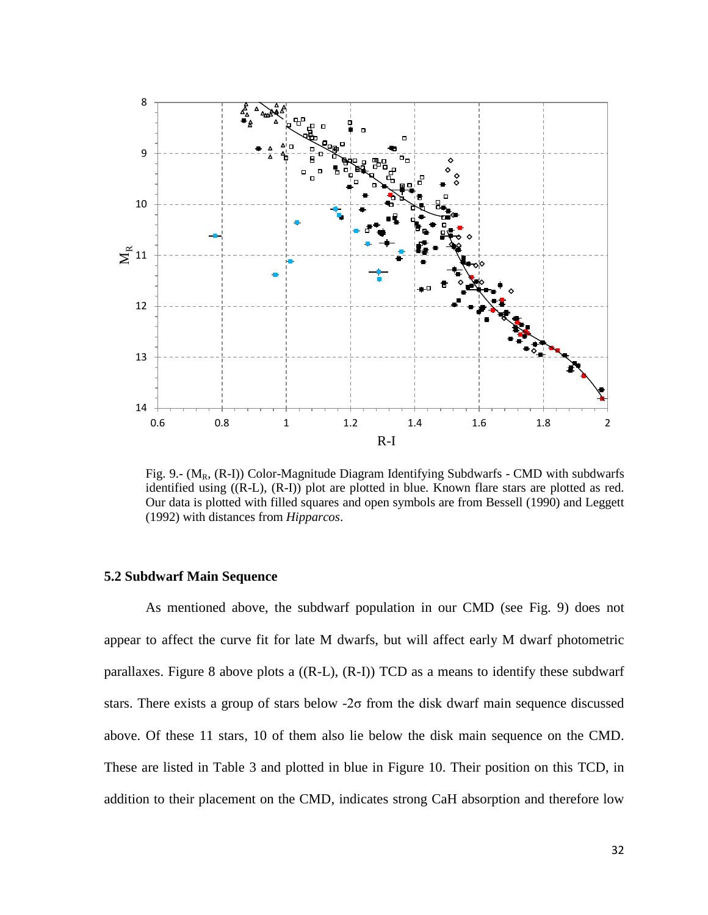

Fig. 9.-  $(M_R, (R-I))$  Color-Magnitude Diagram Identifying Subdwarfs - CMD with subdwarfs identified using ((R-L), (R-I)) plot are plotted in blue. Known flare stars are plotted as red. Our data is plotted with filled squares and open symbols are from Bessell (1990) and Leggett (1992) with distances from *Hipparcos*.

### **5.2 Subdwarf Main Sequence**

As mentioned above, the subdwarf population in our CMD (see Fig. 9) does not appear to affect the curve fit for late M dwarfs, but will affect early M dwarf photometric parallaxes. Figure 8 above plots a  $((R-L)$ ,  $(R-I)$ ) TCD as a means to identify these subdwarf stars. There exists a group of stars below -2σ from the disk dwarf main sequence discussed above. Of these 11 stars, 10 of them also lie below the disk main sequence on the CMD. These are listed in Table 3 and plotted in blue in Figure 10. Their position on this TCD, in addition to their placement on the CMD, indicates strong CaH absorption and therefore low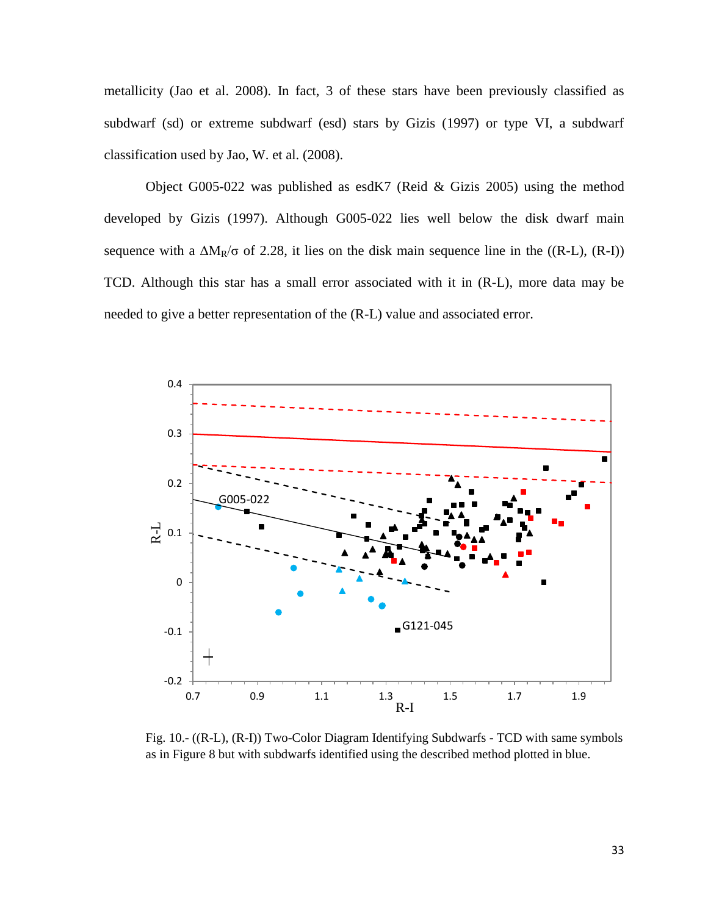metallicity (Jao et al. 2008). In fact, 3 of these stars have been previously classified as subdwarf (sd) or extreme subdwarf (esd) stars by Gizis (1997) or type VI, a subdwarf classification used by Jao, W. et al. (2008).

Object G005-022 was published as esdK7 (Reid & Gizis 2005) using the method developed by Gizis (1997). Although G005-022 lies well below the disk dwarf main sequence with a  $\Delta M_R/\sigma$  of 2.28, it lies on the disk main sequence line in the ((R-L), (R-I)) TCD. Although this star has a small error associated with it in (R-L), more data may be needed to give a better representation of the (R-L) value and associated error.



Fig. 10.- ((R-L), (R-I)) Two-Color Diagram Identifying Subdwarfs - TCD with same symbols as in Figure 8 but with subdwarfs identified using the described method plotted in blue.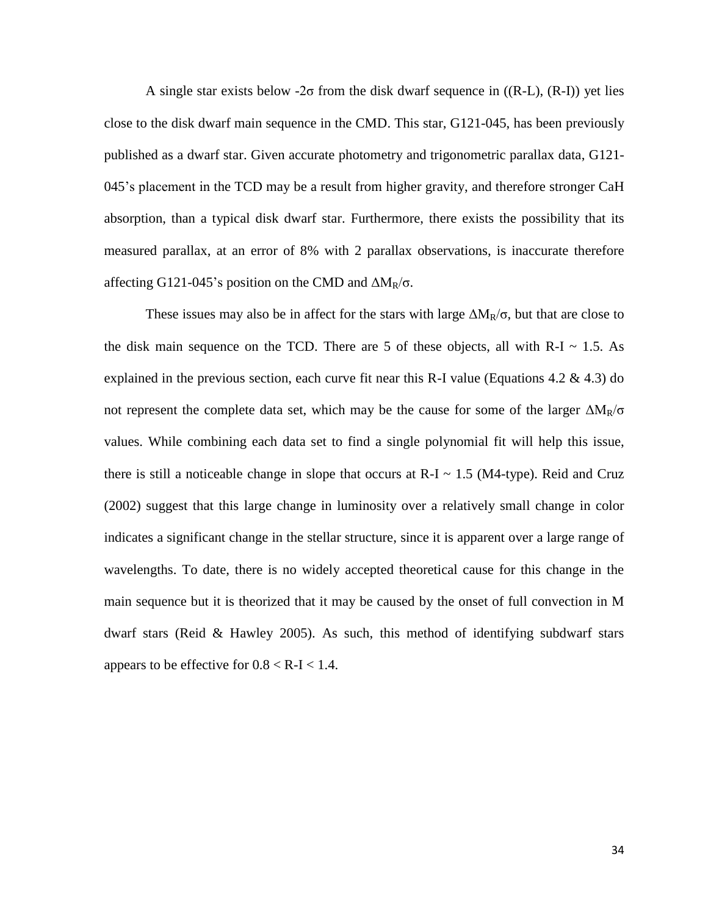A single star exists below -2 $\sigma$  from the disk dwarf sequence in ((R-L), (R-I)) yet lies close to the disk dwarf main sequence in the CMD. This star, G121-045, has been previously published as a dwarf star. Given accurate photometry and trigonometric parallax data, G121- 045's placement in the TCD may be a result from higher gravity, and therefore stronger CaH absorption, than a typical disk dwarf star. Furthermore, there exists the possibility that its measured parallax, at an error of 8% with 2 parallax observations, is inaccurate therefore affecting G121-045's position on the CMD and  $\Delta M_R/\sigma$ .

These issues may also be in affect for the stars with large  $\Delta M_R/\sigma$ , but that are close to the disk main sequence on the TCD. There are 5 of these objects, all with R-I  $\sim$  1.5. As explained in the previous section, each curve fit near this R-I value (Equations 4.2  $\&$  4.3) do not represent the complete data set, which may be the cause for some of the larger  $\Delta M_R/\sigma$ values. While combining each data set to find a single polynomial fit will help this issue, there is still a noticeable change in slope that occurs at  $R-I \sim 1.5$  (M4-type). Reid and Cruz (2002) suggest that this large change in luminosity over a relatively small change in color indicates a significant change in the stellar structure, since it is apparent over a large range of wavelengths. To date, there is no widely accepted theoretical cause for this change in the main sequence but it is theorized that it may be caused by the onset of full convection in M dwarf stars (Reid & Hawley 2005). As such, this method of identifying subdwarf stars appears to be effective for  $0.8 < R$ -I $< 1.4$ .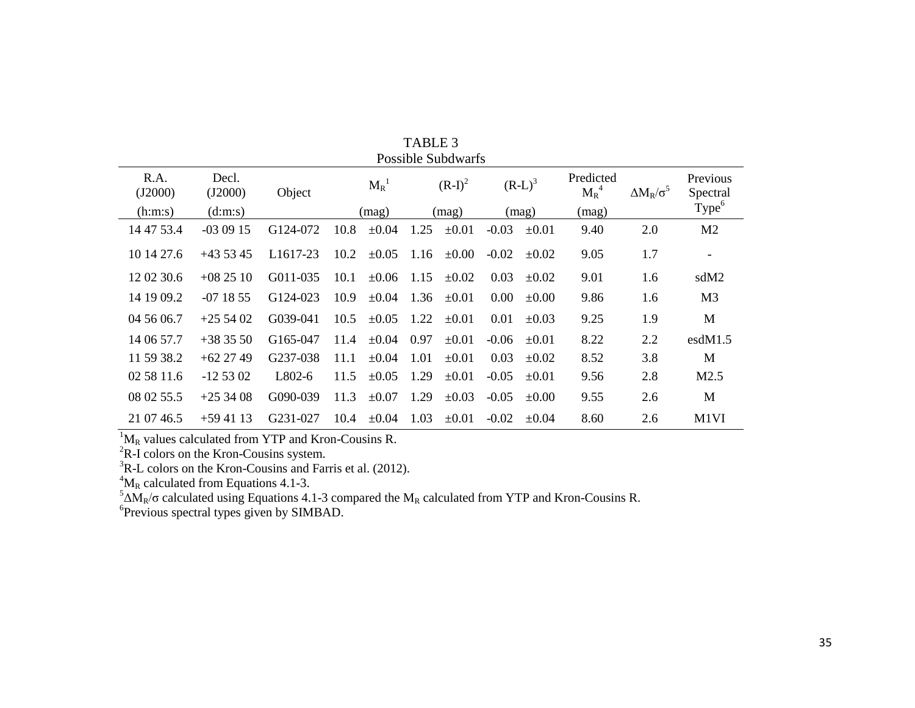|                 | <b>Possible Subdwarfs</b> |                      |            |            |           |            |           |            |                      |                       |                                           |  |  |  |
|-----------------|---------------------------|----------------------|------------|------------|-----------|------------|-----------|------------|----------------------|-----------------------|-------------------------------------------|--|--|--|
| R.A.<br>(J2000) | Decl.<br>(J2000)          | Object               | $M_R^{-1}$ |            | $(R-I)^2$ |            | $(R-L)^3$ |            | Predicted<br>$M_R^4$ | $\Delta M_R/\sigma^3$ | Previous<br>Spectral<br>Type <sup>6</sup> |  |  |  |
| (h:m:s)         | (d:m:s)                   |                      |            | (mag)      |           | (mag)      |           | (mag)      | (mag)                |                       |                                           |  |  |  |
| 14 47 53.4      | $-030915$                 | G124-072             | 10.8       | $\pm 0.04$ | 1.25      | $\pm 0.01$ | $-0.03$   | $\pm 0.01$ | 9.40                 | 2.0                   | M <sub>2</sub>                            |  |  |  |
| 10 14 27.6      | $+435345$                 | L <sub>1617-23</sub> | 10.2       | $\pm 0.05$ | 1.16      | $\pm 0.00$ | $-0.02$   | $\pm 0.02$ | 9.05                 | 1.7                   | $\overline{a}$                            |  |  |  |
| 12 02 30.6      | $+082510$                 | G011-035             | 10.1       | $\pm 0.06$ | 1.15      | $\pm 0.02$ | 0.03      | $\pm 0.02$ | 9.01                 | 1.6                   | sdM2                                      |  |  |  |
| 14 19 09.2      | $-071855$                 | G124-023             | 10.9       | $\pm 0.04$ | 1.36      | $\pm 0.01$ | $0.00\,$  | $\pm 0.00$ | 9.86                 | 1.6                   | M <sub>3</sub>                            |  |  |  |
| 04 56 06.7      | $+255402$                 | G039-041             | 10.5       | $\pm 0.05$ | 1.22      | $\pm 0.01$ | 0.01      | $\pm 0.03$ | 9.25                 | 1.9                   | M                                         |  |  |  |
| 14 06 57.7      | $+383550$                 | G165-047             | 11.4       | $\pm 0.04$ | 0.97      | $\pm 0.01$ | $-0.06$   | $\pm 0.01$ | 8.22                 | 2.2                   | esdM1.5                                   |  |  |  |
| 11 59 38.2      | $+62$ 27 49               | G237-038             | 11.1       | $\pm 0.04$ | 1.01      | $\pm 0.01$ | 0.03      | $\pm 0.02$ | 8.52                 | 3.8                   | M                                         |  |  |  |
| 02 58 11.6      | $-125302$                 | L802-6               | 11.5       | $\pm 0.05$ | 1.29      | $\pm 0.01$ | $-0.05$   | $\pm 0.01$ | 9.56                 | 2.8                   | M2.5                                      |  |  |  |
| 08 02 55.5      | $+253408$                 | G090-039             | 11.3       | $\pm 0.07$ | 1.29      | $\pm 0.03$ | $-0.05$   | $\pm 0.00$ | 9.55                 | 2.6                   | M                                         |  |  |  |
| 21 07 46.5      | $+594113$                 | G231-027             | 10.4       | $\pm 0.04$ | 1.03      | $\pm 0.01$ | $-0.02$   | $\pm 0.04$ | 8.60                 | 2.6                   | M1VI                                      |  |  |  |

TABLE 3

 ${}^{1}M_{R}$  values calculated from YTP and Kron-Cousins R.

 ${}^{2}$ R-I colors on the Kron-Cousins system.

 ${}^{3}R$ -L colors on the Kron-Cousins and Farris et al. (2012).

 ${}^{4}M_{R}$  calculated from Equations 4.1-3.

 $5\Delta M_R/\sigma$  calculated using Equations 4.1-3 compared the M<sub>R</sub> calculated from YTP and Kron-Cousins R.

6 Previous spectral types given by SIMBAD.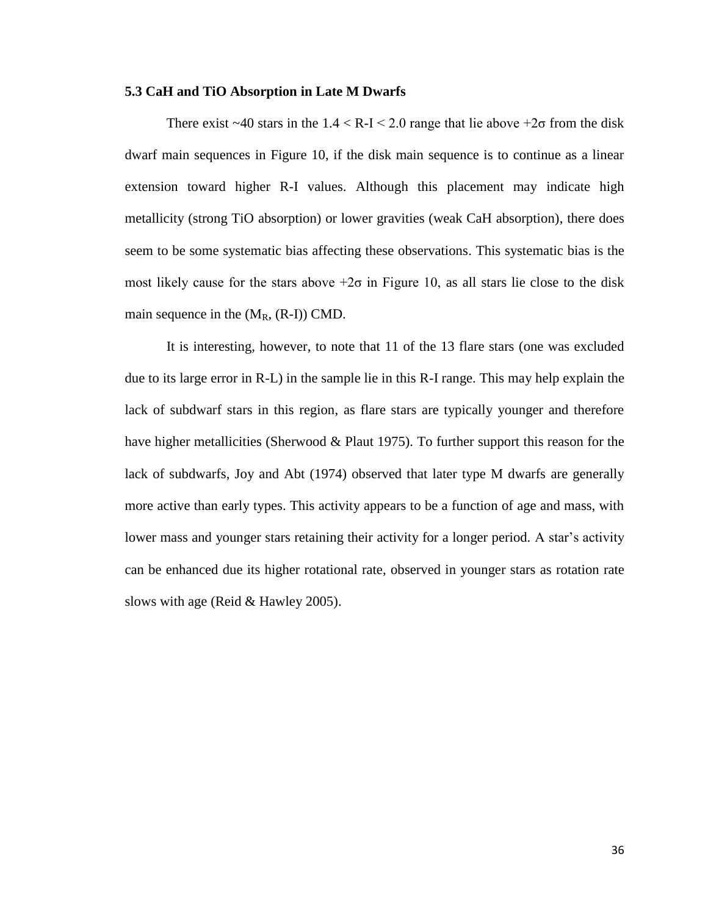#### **5.3 CaH and TiO Absorption in Late M Dwarfs**

There exist  $\sim$ 40 stars in the 1.4 < R-I < 2.0 range that lie above  $+2\sigma$  from the disk dwarf main sequences in Figure 10, if the disk main sequence is to continue as a linear extension toward higher R-I values. Although this placement may indicate high metallicity (strong TiO absorption) or lower gravities (weak CaH absorption), there does seem to be some systematic bias affecting these observations. This systematic bias is the most likely cause for the stars above  $+2\sigma$  in Figure 10, as all stars lie close to the disk main sequence in the  $(M_R, (R-I))$  CMD.

It is interesting, however, to note that 11 of the 13 flare stars (one was excluded due to its large error in R-L) in the sample lie in this R-I range. This may help explain the lack of subdwarf stars in this region, as flare stars are typically younger and therefore have higher metallicities (Sherwood & Plaut 1975). To further support this reason for the lack of subdwarfs, Joy and Abt (1974) observed that later type M dwarfs are generally more active than early types. This activity appears to be a function of age and mass, with lower mass and younger stars retaining their activity for a longer period. A star's activity can be enhanced due its higher rotational rate, observed in younger stars as rotation rate slows with age (Reid & Hawley 2005).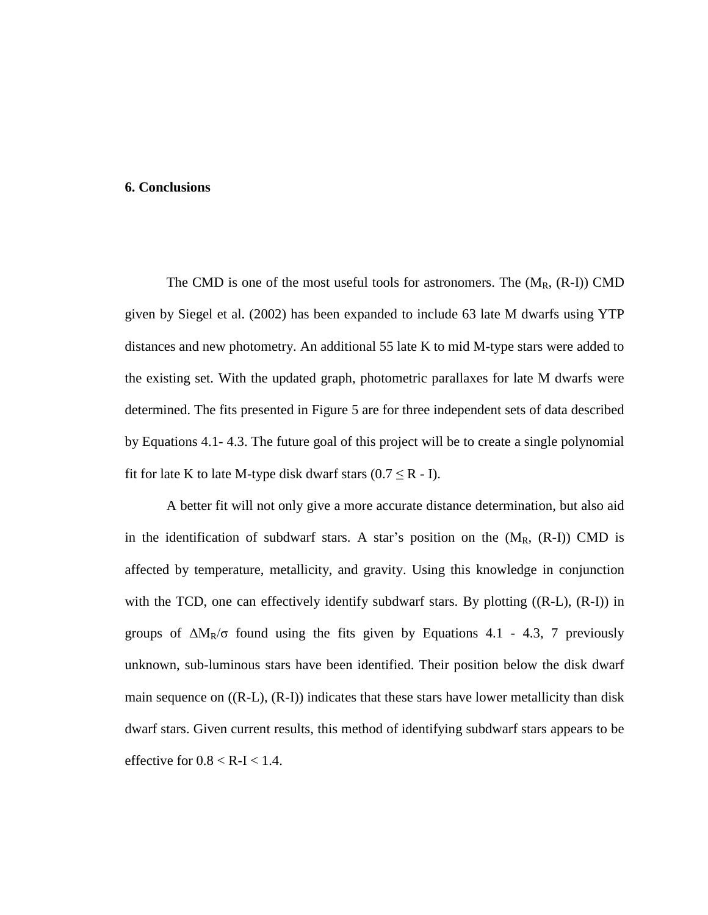#### **6. Conclusions**

The CMD is one of the most useful tools for astronomers. The  $(M_R, (R-I))$  CMD given by Siegel et al. (2002) has been expanded to include 63 late M dwarfs using YTP distances and new photometry. An additional 55 late K to mid M-type stars were added to the existing set. With the updated graph, photometric parallaxes for late M dwarfs were determined. The fits presented in Figure 5 are for three independent sets of data described by Equations 4.1- 4.3. The future goal of this project will be to create a single polynomial fit for late K to late M-type disk dwarf stars  $(0.7 \le R - I)$ .

A better fit will not only give a more accurate distance determination, but also aid in the identification of subdwarf stars. A star's position on the  $(M_R, (R-I))$  CMD is affected by temperature, metallicity, and gravity. Using this knowledge in conjunction with the TCD, one can effectively identify subdwarf stars. By plotting ((R-L), (R-I)) in groups of  $\Delta M_R/\sigma$  found using the fits given by Equations 4.1 - 4.3, 7 previously unknown, sub-luminous stars have been identified. Their position below the disk dwarf main sequence on  $((R-L), (R-I))$  indicates that these stars have lower metallicity than disk dwarf stars. Given current results, this method of identifying subdwarf stars appears to be effective for  $0.8 < R$ -I $< 1.4$ .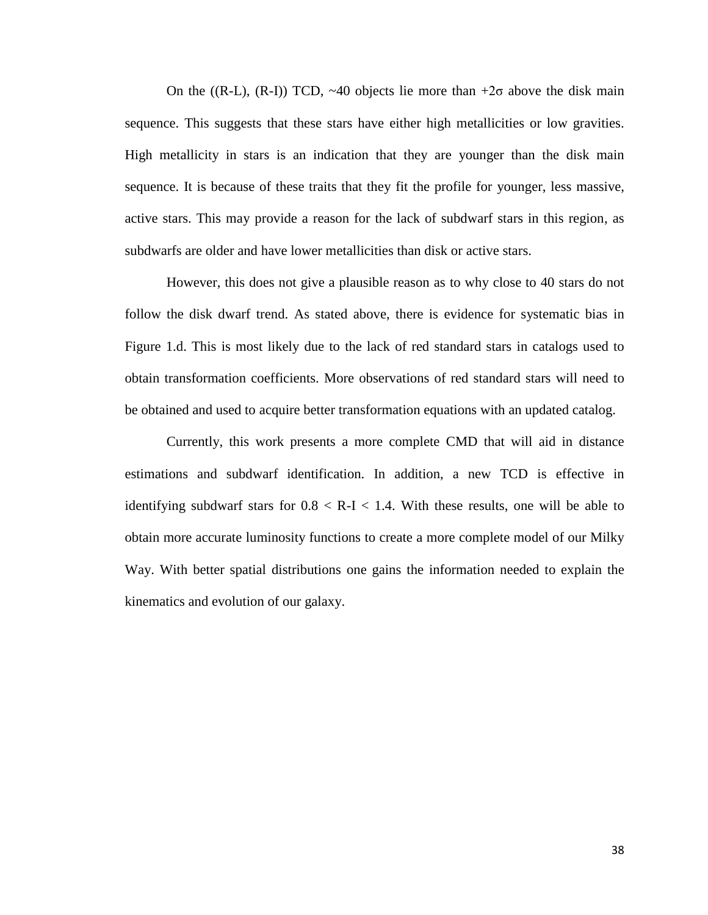On the ((R-L), (R-I)) TCD,  $\sim$ 40 objects lie more than +2 $\sigma$  above the disk main sequence. This suggests that these stars have either high metallicities or low gravities. High metallicity in stars is an indication that they are younger than the disk main sequence. It is because of these traits that they fit the profile for younger, less massive, active stars. This may provide a reason for the lack of subdwarf stars in this region, as subdwarfs are older and have lower metallicities than disk or active stars.

However, this does not give a plausible reason as to why close to 40 stars do not follow the disk dwarf trend. As stated above, there is evidence for systematic bias in Figure 1.d. This is most likely due to the lack of red standard stars in catalogs used to obtain transformation coefficients. More observations of red standard stars will need to be obtained and used to acquire better transformation equations with an updated catalog.

Currently, this work presents a more complete CMD that will aid in distance estimations and subdwarf identification. In addition, a new TCD is effective in identifying subdwarf stars for  $0.8 < R-I < 1.4$ . With these results, one will be able to obtain more accurate luminosity functions to create a more complete model of our Milky Way. With better spatial distributions one gains the information needed to explain the kinematics and evolution of our galaxy.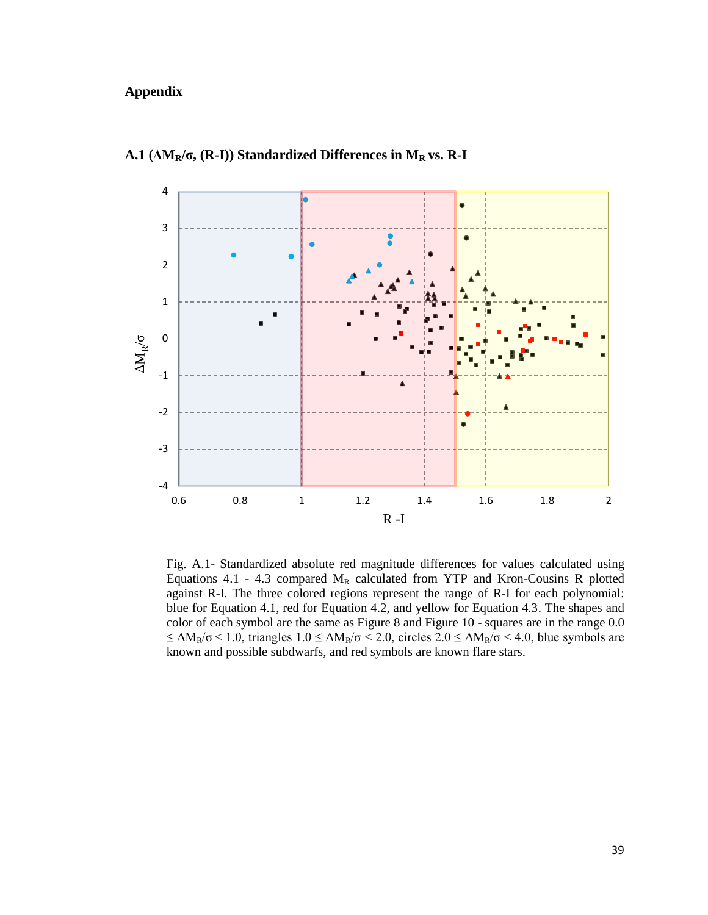# **Appendix**



**A.1 (ΔMR/σ, (R-I)) Standardized Differences in M<sup>R</sup> vs. R-I**

Fig. A.1- Standardized absolute red magnitude differences for values calculated using Equations 4.1 - 4.3 compared  $M_R$  calculated from YTP and Kron-Cousins R plotted against R-I. The three colored regions represent the range of R-I for each polynomial: blue for Equation 4.1, red for Equation 4.2, and yellow for Equation 4.3. The shapes and color of each symbol are the same as Figure 8 and Figure 10 - squares are in the range 0.0  $\leq \Delta M_R/\sigma$  < 1.0, triangles 1.0  $\leq \Delta M_R/\sigma$  < 2.0, circles 2.0  $\leq \Delta M_R/\sigma$  < 4.0, blue symbols are known and possible subdwarfs, and red symbols are known flare stars.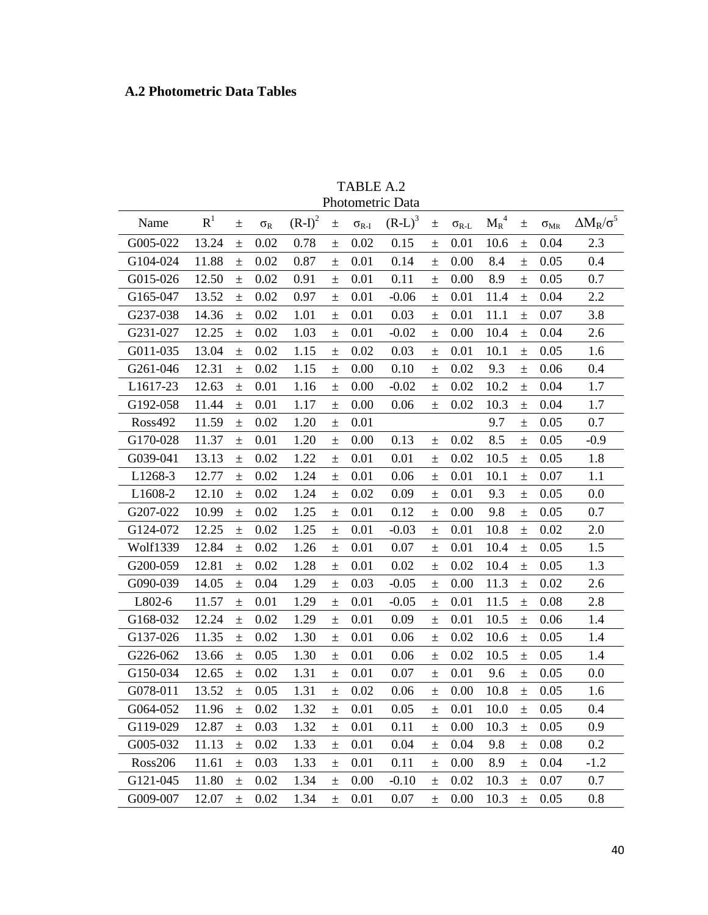# **A.2 Photometric Data Tables**

| TABLE A.2        |
|------------------|
| Photometric Data |

| Name           | $R^1$ | $\pm$ | $\sigma_{R}$ | $(R-I)^2$ | $\pm$ | $\sigma_{R-I}$ | $(R-L)^3$ | $\pm$ | $\sigma_{R-L}$ | ${M_R}^4$ | $\pm$ | $\sigma_{MR}$ | $\Delta M_R/\sigma^5$ |
|----------------|-------|-------|--------------|-----------|-------|----------------|-----------|-------|----------------|-----------|-------|---------------|-----------------------|
| G005-022       | 13.24 | $\pm$ | 0.02         | 0.78      | 士     | 0.02           | 0.15      | $\pm$ | 0.01           | 10.6      | $\pm$ | 0.04          | 2.3                   |
| G104-024       | 11.88 | $\pm$ | 0.02         | 0.87      | $\pm$ | 0.01           | 0.14      | $\pm$ | 0.00           | 8.4       | $\pm$ | 0.05          | 0.4                   |
| G015-026       | 12.50 | $\pm$ | 0.02         | 0.91      | $\pm$ | 0.01           | 0.11      | $\pm$ | 0.00           | 8.9       | $\pm$ | 0.05          | 0.7                   |
| G165-047       | 13.52 | $\pm$ | 0.02         | 0.97      | $\pm$ | 0.01           | $-0.06$   | $\pm$ | 0.01           | 11.4      | $\pm$ | 0.04          | 2.2                   |
| G237-038       | 14.36 | $\pm$ | 0.02         | 1.01      | $\pm$ | 0.01           | 0.03      | $\pm$ | 0.01           | 11.1      | $\pm$ | 0.07          | 3.8                   |
| G231-027       | 12.25 | $\pm$ | 0.02         | 1.03      | $\pm$ | 0.01           | $-0.02$   | $\pm$ | 0.00           | 10.4      | $\pm$ | 0.04          | 2.6                   |
| G011-035       | 13.04 | $\pm$ | 0.02         | 1.15      | $\pm$ | 0.02           | 0.03      | $\pm$ | 0.01           | 10.1      | $\pm$ | 0.05          | 1.6                   |
| G261-046       | 12.31 | $\pm$ | 0.02         | 1.15      | 土     | 0.00           | 0.10      | $\pm$ | 0.02           | 9.3       | $\pm$ | 0.06          | 0.4                   |
| L1617-23       | 12.63 | $\pm$ | 0.01         | 1.16      | $\pm$ | 0.00           | $-0.02$   | $\pm$ | 0.02           | 10.2      | $\pm$ | 0.04          | 1.7                   |
| G192-058       | 11.44 | $\pm$ | 0.01         | 1.17      | $\pm$ | 0.00           | 0.06      | $\pm$ | 0.02           | 10.3      | $\pm$ | 0.04          | 1.7                   |
| <b>Ross492</b> | 11.59 | $\pm$ | 0.02         | 1.20      | $\pm$ | 0.01           |           |       |                | 9.7       | $\pm$ | 0.05          | 0.7                   |
| G170-028       | 11.37 | $\pm$ | 0.01         | 1.20      | $\pm$ | 0.00           | 0.13      | $\pm$ | 0.02           | 8.5       | $\pm$ | 0.05          | $-0.9$                |
| G039-041       | 13.13 | $\pm$ | 0.02         | 1.22      | $\pm$ | 0.01           | 0.01      | $\pm$ | 0.02           | 10.5      | $\pm$ | 0.05          | 1.8                   |
| L1268-3        | 12.77 | $\pm$ | 0.02         | 1.24      | 土     | 0.01           | 0.06      | $\pm$ | 0.01           | 10.1      | $\pm$ | 0.07          | 1.1                   |
| L1608-2        | 12.10 | $\pm$ | 0.02         | 1.24      | $\pm$ | 0.02           | 0.09      | $\pm$ | 0.01           | 9.3       | $\pm$ | 0.05          | 0.0                   |
| G207-022       | 10.99 | $\pm$ | 0.02         | 1.25      | $\pm$ | 0.01           | 0.12      | $\pm$ | 0.00           | 9.8       | $\pm$ | 0.05          | 0.7                   |
| G124-072       | 12.25 | $\pm$ | 0.02         | 1.25      | $\pm$ | 0.01           | $-0.03$   | $\pm$ | 0.01           | 10.8      | $\pm$ | 0.02          | 2.0                   |
| Wolf1339       | 12.84 | $\pm$ | 0.02         | 1.26      | $\pm$ | 0.01           | 0.07      | $\pm$ | 0.01           | 10.4      | $\pm$ | 0.05          | 1.5                   |
| G200-059       | 12.81 | $\pm$ | 0.02         | 1.28      | $\pm$ | 0.01           | 0.02      | $\pm$ | 0.02           | 10.4      | $\pm$ | 0.05          | 1.3                   |
| G090-039       | 14.05 | $\pm$ | 0.04         | 1.29      | $\pm$ | 0.03           | $-0.05$   | $\pm$ | 0.00           | 11.3      | $\pm$ | 0.02          | 2.6                   |
| L802-6         | 11.57 | $\pm$ | 0.01         | 1.29      | $\pm$ | 0.01           | $-0.05$   | $\pm$ | 0.01           | 11.5      | $\pm$ | 0.08          | 2.8                   |
| G168-032       | 12.24 | $\pm$ | 0.02         | 1.29      | $\pm$ | 0.01           | 0.09      | $\pm$ | 0.01           | 10.5      | $\pm$ | 0.06          | 1.4                   |
| G137-026       | 11.35 | $\pm$ | 0.02         | 1.30      | $\pm$ | 0.01           | 0.06      | $\pm$ | 0.02           | 10.6      | $\pm$ | 0.05          | 1.4                   |
| G226-062       | 13.66 | $\pm$ | 0.05         | 1.30      | 土     | 0.01           | 0.06      | $\pm$ | 0.02           | 10.5      | 土     | 0.05          | 1.4                   |
| G150-034       | 12.65 | $\pm$ | 0.02         | 1.31      | $\pm$ | 0.01           | 0.07      | $\pm$ | 0.01           | 9.6       | $\pm$ | 0.05          | 0.0                   |
| G078-011       | 13.52 | $\pm$ | 0.05         | 1.31      | $\pm$ | 0.02           | 0.06      | $\pm$ | 0.00           | 10.8      | $\pm$ | 0.05          | 1.6                   |
| G064-052       | 11.96 | $\pm$ | 0.02         | 1.32      | $\pm$ | 0.01           | 0.05      | $\pm$ | 0.01           | 10.0      | $\pm$ | 0.05          | 0.4                   |
| G119-029       | 12.87 | $\pm$ | 0.03         | 1.32      | $\pm$ | 0.01           | 0.11      | $\pm$ | 0.00           | 10.3      | $\pm$ | 0.05          | 0.9                   |
| G005-032       | 11.13 | $\pm$ | 0.02         | 1.33      | $\pm$ | 0.01           | 0.04      | $\pm$ | 0.04           | 9.8       | $\pm$ | 0.08          | 0.2                   |
| <b>Ross206</b> | 11.61 | $\pm$ | 0.03         | 1.33      | 土     | 0.01           | 0.11      | $\pm$ | 0.00           | 8.9       | $\pm$ | 0.04          | $-1.2$                |
| G121-045       | 11.80 | $\pm$ | 0.02         | 1.34      | $\pm$ | 0.00           | $-0.10$   | $\pm$ | 0.02           | 10.3      | $\pm$ | 0.07          | 0.7                   |
| G009-007       | 12.07 | $\pm$ | 0.02         | 1.34      | $\pm$ | 0.01           | 0.07      | $\pm$ | 0.00           | 10.3      | $\pm$ | 0.05          | 0.8                   |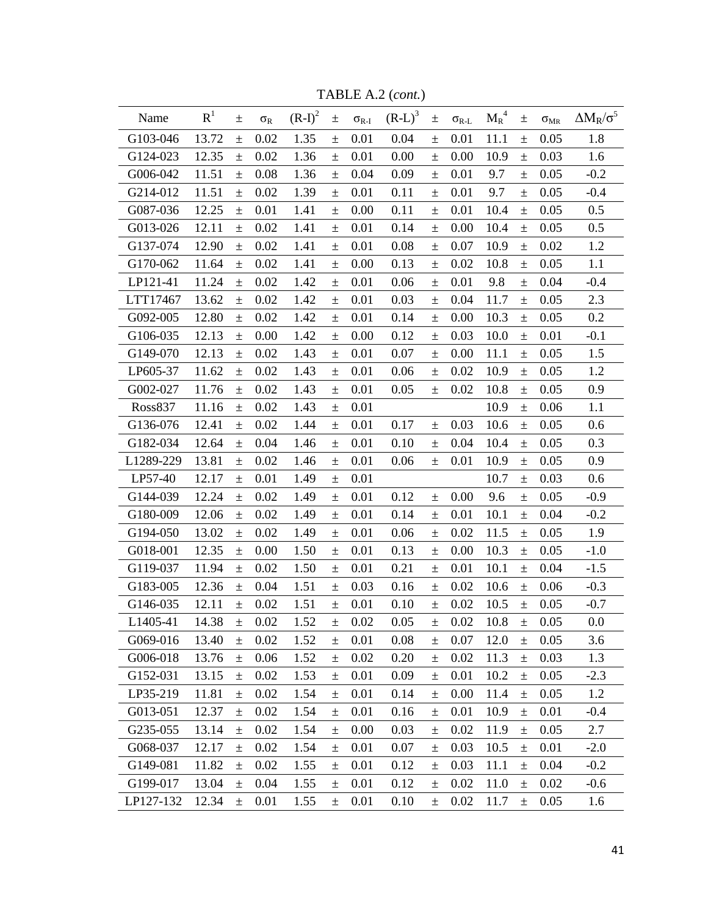| Name      | R <sup>1</sup> | 土     | $\sigma_{R}$ | $(R-I)^2$ | $\pm$    | $\sigma_{\rm R\text{-}I}$ | $(R-L)^3$ | $\pm$ | $\sigma_{\rm R\text{-}L}$ | $M_R^4$ | $\pm$ | $\sigma_{\text{MR}}$ | $\Delta M_R/\sigma^5$ |
|-----------|----------------|-------|--------------|-----------|----------|---------------------------|-----------|-------|---------------------------|---------|-------|----------------------|-----------------------|
| G103-046  | 13.72          | $\pm$ | 0.02         | 1.35      | $\pm$    | 0.01                      | 0.04      | $\pm$ | 0.01                      | 11.1    | $\pm$ | 0.05                 | 1.8                   |
| G124-023  | 12.35          | $\pm$ | 0.02         | 1.36      | $\pm$    | 0.01                      | 0.00      | $\pm$ | 0.00                      | 10.9    | $\pm$ | 0.03                 | 1.6                   |
| G006-042  | 11.51          | $\pm$ | 0.08         | 1.36      | $\pm$    | 0.04                      | 0.09      | $\pm$ | 0.01                      | 9.7     | 土     | 0.05                 | $-0.2$                |
| G214-012  | 11.51          | $\pm$ | 0.02         | 1.39      | $\pm$    | 0.01                      | 0.11      | $\pm$ | 0.01                      | 9.7     | $\pm$ | 0.05                 | $-0.4$                |
| G087-036  | 12.25          | $\pm$ | 0.01         | 1.41      | $\pm$    | 0.00                      | 0.11      | $\pm$ | 0.01                      | 10.4    | $\pm$ | 0.05                 | 0.5                   |
| G013-026  | 12.11          | $\pm$ | 0.02         | 1.41      | $\pm$    | 0.01                      | 0.14      | $\pm$ | 0.00                      | 10.4    | $\pm$ | 0.05                 | 0.5                   |
| G137-074  | 12.90          | $\pm$ | 0.02         | 1.41      | $\pm$    | 0.01                      | 0.08      | $\pm$ | 0.07                      | 10.9    | $\pm$ | 0.02                 | 1.2                   |
| G170-062  | 11.64          | $\pm$ | 0.02         | 1.41      | $\pm$    | 0.00                      | 0.13      | $\pm$ | 0.02                      | 10.8    | $\pm$ | 0.05                 | 1.1                   |
| LP121-41  | 11.24          | $\pm$ | 0.02         | 1.42      | $\pm$    | 0.01                      | 0.06      | 土     | 0.01                      | 9.8     | $\pm$ | 0.04                 | $-0.4$                |
| LTT17467  | 13.62          | $\pm$ | 0.02         | 1.42      | $\pm$    | 0.01                      | 0.03      | $\pm$ | 0.04                      | 11.7    | $\pm$ | 0.05                 | 2.3                   |
| G092-005  | 12.80          | $\pm$ | 0.02         | 1.42      | $\pm$    | 0.01                      | 0.14      | $\pm$ | $0.00\,$                  | 10.3    | $\pm$ | 0.05                 | 0.2                   |
| G106-035  | 12.13          | 土     | 0.00         | 1.42      | $\pm$    | 0.00                      | 0.12      | $\pm$ | 0.03                      | 10.0    | $\pm$ | 0.01                 | $-0.1$                |
| G149-070  | 12.13          | $\pm$ | 0.02         | 1.43      | $\pm$    | 0.01                      | 0.07      | $\pm$ | 0.00                      | 11.1    | $\pm$ | 0.05                 | 1.5                   |
| LP605-37  | 11.62          | $\pm$ | 0.02         | 1.43      | $\pm$    | 0.01                      | 0.06      | $\pm$ | 0.02                      | 10.9    | $\pm$ | 0.05                 | 1.2                   |
| G002-027  | 11.76          | $\pm$ | 0.02         | 1.43      | $\pm$    | 0.01                      | 0.05      | $\pm$ | 0.02                      | 10.8    | $\pm$ | 0.05                 | 0.9                   |
| Ross837   | 11.16          | $\pm$ | 0.02         | 1.43      | $\pm$    | 0.01                      |           |       |                           | 10.9    | $\pm$ | 0.06                 | 1.1                   |
| G136-076  | 12.41          | $\pm$ | 0.02         | 1.44      | $\pm$    | 0.01                      | 0.17      | $\pm$ | 0.03                      | 10.6    | $\pm$ | 0.05                 | 0.6                   |
| G182-034  | 12.64          | $\pm$ | 0.04         | 1.46      | $\pm$    | 0.01                      | 0.10      | $\pm$ | 0.04                      | 10.4    | $\pm$ | 0.05                 | 0.3                   |
| L1289-229 | 13.81          | $\pm$ | 0.02         | 1.46      | $\pm$    | 0.01                      | 0.06      | $\pm$ | 0.01                      | 10.9    | $\pm$ | 0.05                 | 0.9                   |
| LP57-40   | 12.17          | $\pm$ | 0.01         | 1.49      | $\pm$    | 0.01                      |           |       |                           | 10.7    | $\pm$ | 0.03                 | 0.6                   |
| G144-039  | 12.24          | $\pm$ | 0.02         | 1.49      | $\pm$    | 0.01                      | 0.12      | $\pm$ | 0.00                      | 9.6     | $\pm$ | 0.05                 | $-0.9$                |
| G180-009  | 12.06          | $\pm$ | 0.02         | 1.49      | $\pm$    | 0.01                      | 0.14      | $\pm$ | 0.01                      | 10.1    | $\pm$ | 0.04                 | $-0.2$                |
| G194-050  | 13.02          | $\pm$ | 0.02         | 1.49      | $\pm$    | 0.01                      | 0.06      | $\pm$ | 0.02                      | 11.5    | $\pm$ | 0.05                 | 1.9                   |
| G018-001  | 12.35          | $\pm$ | 0.00         | 1.50      | $\pm$    | 0.01                      | 0.13      | $\pm$ | 0.00                      | 10.3    | $\pm$ | 0.05                 | $-1.0$                |
| G119-037  | 11.94          | $\pm$ | 0.02         | 1.50      | $\pm$    | 0.01                      | 0.21      | $\pm$ | 0.01                      | 10.1    | $\pm$ | 0.04                 | $-1.5$                |
| G183-005  | 12.36          | $\pm$ | 0.04         | 1.51      | $\pm$    | 0.03                      | 0.16      | $\pm$ | 0.02                      | 10.6    | $\pm$ | 0.06                 | $-0.3$                |
| G146-035  | 12.11          | $\pm$ | 0.02         | 1.51      | $\pm$    | 0.01                      | 0.10      | $\pm$ | 0.02                      | 10.5    | $\pm$ | 0.05                 | $-0.7$                |
| L1405-41  | 14.38          | $\pm$ | 0.02         | 1.52      | $\pm$    | 0.02                      | 0.05      | $\pm$ | 0.02                      | 10.8    | $\pm$ | $0.05\,$             | 0.0                   |
| G069-016  | 13.40          | $\pm$ | 0.02         | 1.52      | $_{\pm}$ | 0.01                      | 0.08      | $\pm$ | 0.07                      | 12.0    | 土     | 0.05                 | 3.6                   |
| G006-018  | 13.76          | $\pm$ | 0.06         | 1.52      | $\pm$    | 0.02                      | 0.20      | $\pm$ | 0.02                      | 11.3    | $\pm$ | 0.03                 | 1.3                   |
| G152-031  | 13.15          | $\pm$ | 0.02         | 1.53      | $\pm$    | 0.01                      | 0.09      | 士     | 0.01                      | 10.2    | $\pm$ | 0.05                 | $-2.3$                |
| LP35-219  | 11.81          | $\pm$ | 0.02         | 1.54      | $\pm$    | 0.01                      | 0.14      | $\pm$ | 0.00                      | 11.4    | $\pm$ | 0.05                 | 1.2                   |
| G013-051  | 12.37          | $\pm$ | 0.02         | 1.54      | $\pm$    | 0.01                      | 0.16      | $\pm$ | 0.01                      | 10.9    | $\pm$ | 0.01                 | $-0.4$                |
| G235-055  | 13.14          | $\pm$ | 0.02         | 1.54      | $\pm$    | 0.00                      | 0.03      | $\pm$ | 0.02                      | 11.9    | $\pm$ | 0.05                 | 2.7                   |
| G068-037  | 12.17          | $\pm$ | 0.02         | 1.54      | $\pm$    | 0.01                      | 0.07      | $\pm$ | 0.03                      | 10.5    | $\pm$ | 0.01                 | $-2.0$                |
| G149-081  | 11.82          | $\pm$ | 0.02         | 1.55      | $\pm$    | 0.01                      | 0.12      | $\pm$ | 0.03                      | 11.1    | $\pm$ | 0.04                 | $-0.2$                |
| G199-017  | 13.04          | $\pm$ | 0.04         | 1.55      | $\pm$    | 0.01                      | 0.12      | $\pm$ | 0.02                      | 11.0    | $\pm$ | 0.02                 | $-0.6$                |
| LP127-132 | 12.34          | $\pm$ | 0.01         | 1.55      | $\pm$    | 0.01                      | 0.10      | $\pm$ | 0.02                      | 11.7    | $\pm$ | 0.05                 | 1.6                   |

TABLE A.2 (*cont.*)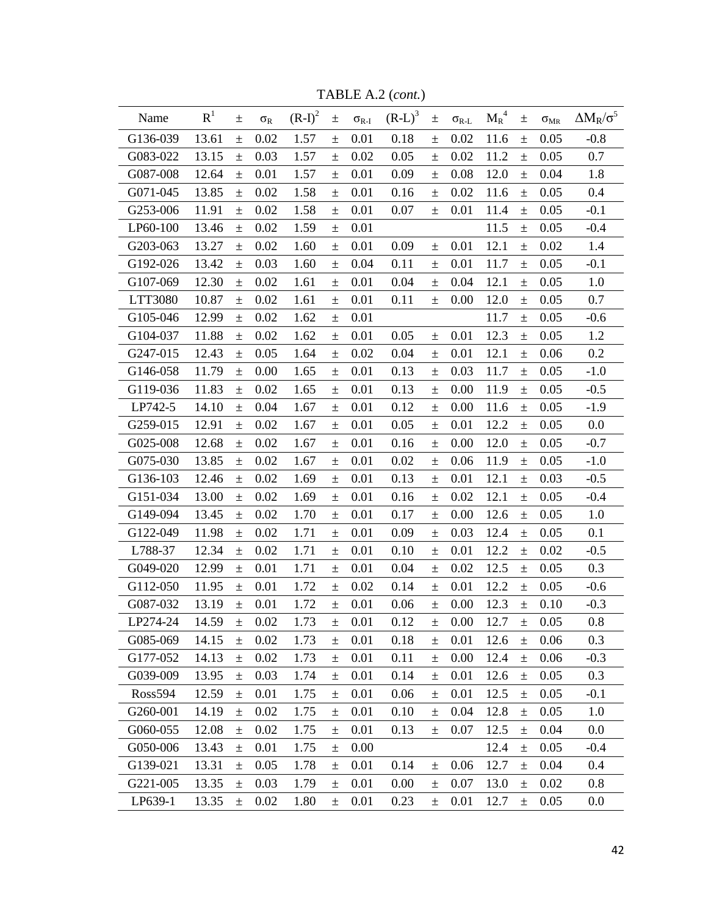| Name           | R <sup>1</sup> | 土     | $\sigma_{R}$ | $(R-I)^2$ | $\pm$ | $\sigma_{R\text{-}I}$ | $(R-L)^3$ | $\pm$ | $\sigma_{\text{R-L}}$ | $M_R^4$ | $\pm$ | $\sigma_{MR}$ | $\Delta M_R/\sigma^5$ |
|----------------|----------------|-------|--------------|-----------|-------|-----------------------|-----------|-------|-----------------------|---------|-------|---------------|-----------------------|
| G136-039       | 13.61          | $\pm$ | 0.02         | 1.57      | $\pm$ | 0.01                  | 0.18      | $\pm$ | 0.02                  | 11.6    | $\pm$ | 0.05          | $-0.8$                |
| G083-022       | 13.15          | $\pm$ | 0.03         | 1.57      | $\pm$ | 0.02                  | 0.05      | $\pm$ | 0.02                  | 11.2    | $\pm$ | 0.05          | 0.7                   |
| G087-008       | 12.64          | $\pm$ | 0.01         | 1.57      | 土     | 0.01                  | 0.09      | 土     | 0.08                  | 12.0    | $\pm$ | 0.04          | 1.8                   |
| G071-045       | 13.85          | $\pm$ | 0.02         | 1.58      | $\pm$ | 0.01                  | 0.16      | $\pm$ | 0.02                  | 11.6    | $\pm$ | 0.05          | 0.4                   |
| G253-006       | 11.91          | $\pm$ | 0.02         | 1.58      | $\pm$ | 0.01                  | 0.07      | $\pm$ | 0.01                  | 11.4    | $\pm$ | 0.05          | $-0.1$                |
| LP60-100       | 13.46          | $\pm$ | 0.02         | 1.59      | $\pm$ | 0.01                  |           |       |                       | 11.5    | $\pm$ | 0.05          | $-0.4$                |
| G203-063       | 13.27          | $\pm$ | 0.02         | 1.60      | $\pm$ | 0.01                  | 0.09      | $\pm$ | 0.01                  | 12.1    | $\pm$ | 0.02          | 1.4                   |
| G192-026       | 13.42          | $\pm$ | 0.03         | 1.60      | $\pm$ | 0.04                  | 0.11      | $\pm$ | 0.01                  | 11.7    | $\pm$ | 0.05          | $-0.1$                |
| G107-069       | 12.30          | 土     | 0.02         | 1.61      | 土     | 0.01                  | 0.04      | 土     | 0.04                  | 12.1    | 土     | 0.05          | 1.0                   |
| LTT3080        | 10.87          | $\pm$ | 0.02         | 1.61      | 土     | 0.01                  | 0.11      | $\pm$ | 0.00                  | 12.0    | $\pm$ | 0.05          | 0.7                   |
| G105-046       | 12.99          | $\pm$ | 0.02         | 1.62      | $\pm$ | 0.01                  |           |       |                       | 11.7    | $\pm$ | 0.05          | $-0.6$                |
| G104-037       | 11.88          | $\pm$ | 0.02         | 1.62      | $\pm$ | 0.01                  | 0.05      | $\pm$ | 0.01                  | 12.3    | $\pm$ | 0.05          | 1.2                   |
| G247-015       | 12.43          | $\pm$ | 0.05         | 1.64      | 土     | 0.02                  | 0.04      | $\pm$ | 0.01                  | 12.1    | $\pm$ | 0.06          | 0.2                   |
| G146-058       | 11.79          | $\pm$ | 0.00         | 1.65      | $\pm$ | 0.01                  | 0.13      | $\pm$ | 0.03                  | 11.7    | $\pm$ | 0.05          | $-1.0$                |
| G119-036       | 11.83          | 土     | 0.02         | 1.65      | 土     | 0.01                  | 0.13      | 土     | 0.00                  | 11.9    | $\pm$ | 0.05          | $-0.5$                |
| LP742-5        | 14.10          | $\pm$ | 0.04         | 1.67      | $\pm$ | 0.01                  | 0.12      | $\pm$ | 0.00                  | 11.6    | $\pm$ | 0.05          | $-1.9$                |
| G259-015       | 12.91          | $\pm$ | 0.02         | 1.67      | $\pm$ | 0.01                  | 0.05      | $\pm$ | 0.01                  | 12.2    | $\pm$ | 0.05          | 0.0                   |
| G025-008       | 12.68          | $\pm$ | 0.02         | 1.67      | $\pm$ | 0.01                  | 0.16      | $\pm$ | 0.00                  | 12.0    | $\pm$ | 0.05          | $-0.7$                |
| G075-030       | 13.85          | $\pm$ | 0.02         | 1.67      | 土     | 0.01                  | 0.02      | $\pm$ | 0.06                  | 11.9    | $\pm$ | 0.05          | $-1.0$                |
| G136-103       | 12.46          | $\pm$ | 0.02         | 1.69      | $\pm$ | 0.01                  | 0.13      | $\pm$ | 0.01                  | 12.1    | $\pm$ | 0.03          | $-0.5$                |
| G151-034       | 13.00          | 土     | 0.02         | 1.69      | 土     | 0.01                  | 0.16      | 土     | 0.02                  | 12.1    | 土     | 0.05          | $-0.4$                |
| G149-094       | 13.45          | $\pm$ | 0.02         | 1.70      | $\pm$ | 0.01                  | 0.17      | 土     | 0.00                  | 12.6    | $\pm$ | 0.05          | 1.0                   |
| G122-049       | 11.98          | $\pm$ | 0.02         | 1.71      | $\pm$ | 0.01                  | 0.09      | $\pm$ | 0.03                  | 12.4    | $\pm$ | 0.05          | 0.1                   |
| L788-37        | 12.34          | $\pm$ | 0.02         | 1.71      | $\pm$ | 0.01                  | 0.10      | $\pm$ | 0.01                  | 12.2    | $\pm$ | 0.02          | $-0.5$                |
| G049-020       | 12.99          | $\pm$ | 0.01         | 1.71      | 土     | 0.01                  | 0.04      | $\pm$ | 0.02                  | 12.5    | $\pm$ | 0.05          | 0.3                   |
| G112-050       | 11.95          | $\pm$ | 0.01         | 1.72      | $\pm$ | 0.02                  | 0.14      | $\pm$ | 0.01                  | 12.2    | $\pm$ | 0.05          | $-0.6$                |
| G087-032       | 13.19          | $\pm$ | 0.01         | 1.72      | $\pm$ | 0.01                  | 0.06      | $\pm$ | 0.00                  | 12.3    | $\pm$ | 0.10          | $-0.3$                |
| LP274-24       | 14.59          | $\pm$ | 0.02         | 1.73      | $\pm$ | 0.01                  | 0.12      | $\pm$ | 0.00                  | 12.7    | $\pm$ | 0.05          | 0.8                   |
| G085-069       | 14.15          | $\pm$ | 0.02         | 1.73      | $\pm$ | 0.01                  | 0.18      | 土     | 0.01                  | 12.6    | $\pm$ | 0.06          | 0.3                   |
| G177-052       | 14.13          | 土     | 0.02         | 1.73      | $\pm$ | 0.01                  | 0.11      | $\pm$ | 0.00                  | 12.4    | $\pm$ | 0.06          | $-0.3$                |
| G039-009       | 13.95          | $\pm$ | 0.03         | 1.74      | $\pm$ | 0.01                  | 0.14      | $\pm$ | 0.01                  | 12.6    | $\pm$ | 0.05          | 0.3                   |
| <b>Ross594</b> | 12.59          | $\pm$ | 0.01         | 1.75      | $\pm$ | 0.01                  | 0.06      | $\pm$ | 0.01                  | 12.5    | $\pm$ | 0.05          | $-0.1$                |
| G260-001       | 14.19          | $\pm$ | 0.02         | 1.75      | $\pm$ | 0.01                  | 0.10      | $\pm$ | 0.04                  | 12.8    | $\pm$ | 0.05          | 1.0                   |
| G060-055       | 12.08          | $\pm$ | 0.02         | 1.75      | $\pm$ | 0.01                  | 0.13      | $\pm$ | 0.07                  | 12.5    | $\pm$ | 0.04          | 0.0                   |
| G050-006       | 13.43          | $\pm$ | 0.01         | 1.75      | $\pm$ | 0.00                  |           |       |                       | 12.4    | $\pm$ | 0.05          | $-0.4$                |
| G139-021       | 13.31          | $\pm$ | 0.05         | 1.78      | $\pm$ | 0.01                  | 0.14      | $\pm$ | 0.06                  | 12.7    | $\pm$ | 0.04          | 0.4                   |
| G221-005       | 13.35          | $\pm$ | 0.03         | 1.79      | $\pm$ | 0.01                  | 0.00      | $\pm$ | 0.07                  | 13.0    | $\pm$ | 0.02          | 0.8                   |
| LP639-1        | 13.35          | $\pm$ | 0.02         | 1.80      | $\pm$ | 0.01                  | 0.23      | $\pm$ | 0.01                  | 12.7    | $\pm$ | 0.05          | 0.0                   |

TABLE A.2 (*cont.*)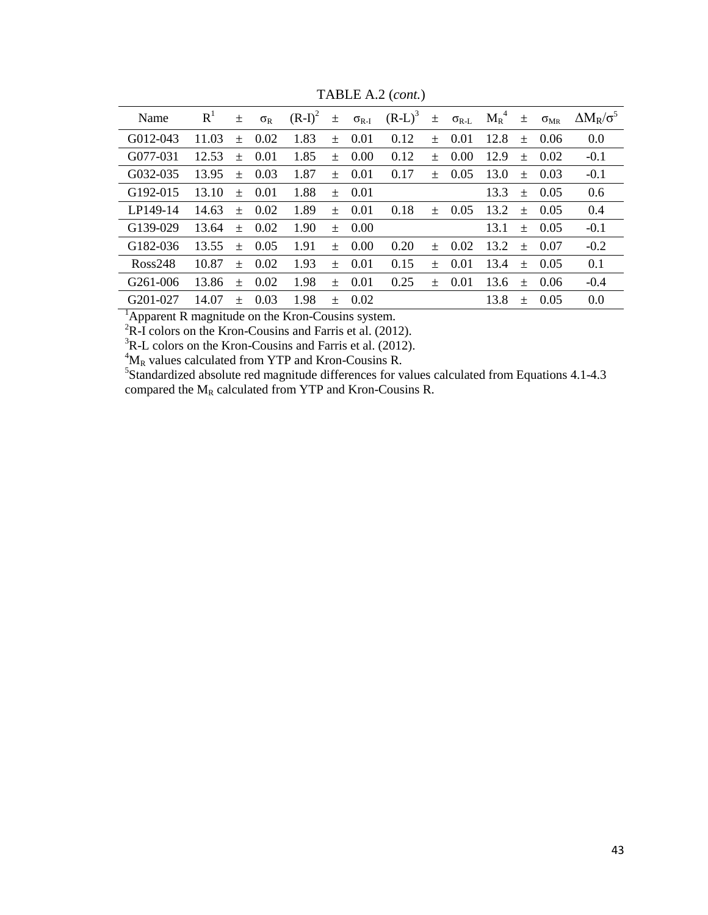| Name                  | $R^1$ | 土      | $\sigma_{R}$ | $(R-I)^2$ |       | $\pm$ $\sigma_{R-I}$ | $(R-L)^3$ $\pm \sigma_{R-L}$ |        |      | $M_R^4$ $\pm$ $\sigma_{MR}$ |        |            | $\Delta M_R/\sigma^5$ |
|-----------------------|-------|--------|--------------|-----------|-------|----------------------|------------------------------|--------|------|-----------------------------|--------|------------|-----------------------|
| G012-043              | 11.03 | $^{+}$ | 0.02         | 1.83      | $\pm$ | 0.01                 | 0.12                         | $+$    | 0.01 | 12.8                        |        | $\pm$ 0.06 | 0.0                   |
| G077-031              | 12.53 | $^{+}$ | 0.01         | 1.85      | $+$   | 0.00                 | 0.12                         | $^{+}$ | 0.00 | 12.9                        |        | $\pm$ 0.02 | $-0.1$                |
| G032-035              | 13.95 | $+$    | 0.03         | 1.87      | $+$   | 0.01                 | 0.17                         | $+$    | 0.05 | 13.0                        | $+$    | 0.03       | $-0.1$                |
| G192-015              | 13.10 | $+$    | 0.01         | 1.88      | $+$   | 0.01                 |                              |        |      | 13.3                        | $+$    | 0.05       | 0.6                   |
| LP149-14              | 14.63 | $+$    | 0.02         | 1.89      | $+$   | 0.01                 | 0.18                         | $+$    | 0.05 | 13.2                        | $+$    | 0.05       | 0.4                   |
| G139-029              | 13.64 | $\pm$  | 0.02         | 1.90      | $\pm$ | 0.00                 |                              |        |      | 13.1                        |        | $\pm$ 0.05 | $-0.1$                |
| G182-036              | 13.55 | $\pm$  | 0.05         | 1.91      | $\pm$ | 0.00                 | 0.20                         | $+$    | 0.02 | 13.2                        | $+$    | 0.07       | $-0.2$                |
| $R$ oss248            | 10.87 | $+$    | 0.02         | 1.93      | $+$   | 0.01                 | 0.15                         | $^{+}$ | 0.01 | 13.4                        | $+$    | 0.05       | 0.1                   |
| G <sub>261</sub> -006 | 13.86 | $^{+}$ | 0.02         | 1.98      | $+$   | 0.01                 | 0.25                         | $+$    | 0.01 | 13.6                        | $+$    | 0.06       | $-0.4$                |
| G <sub>201</sub> -027 | 14.07 | $^{+}$ | 0.03         | 1.98      | $+$   | 0.02                 |                              |        |      | 13.8                        | $^{+}$ | 0.05       | 0.0                   |

TABLE A.2 (*cont.*)

 $<sup>1</sup>$ Apparent R magnitude on the Kron-Cousins system.</sup>

 ${}^{2}R-I$  colors on the Kron-Cousins and Farris et al. (2012).

 ${}^{3}$ R-L colors on the Kron-Cousins and Farris et al. (2012).

 ${}^{4}M_{R}$  values calculated from YTP and Kron-Cousins R.<br><sup>5</sup>Standardized absolute red magnitude differences for values calculated from Equations 4.1-4.3 compared the  $M_R$  calculated from YTP and Kron-Cousins R.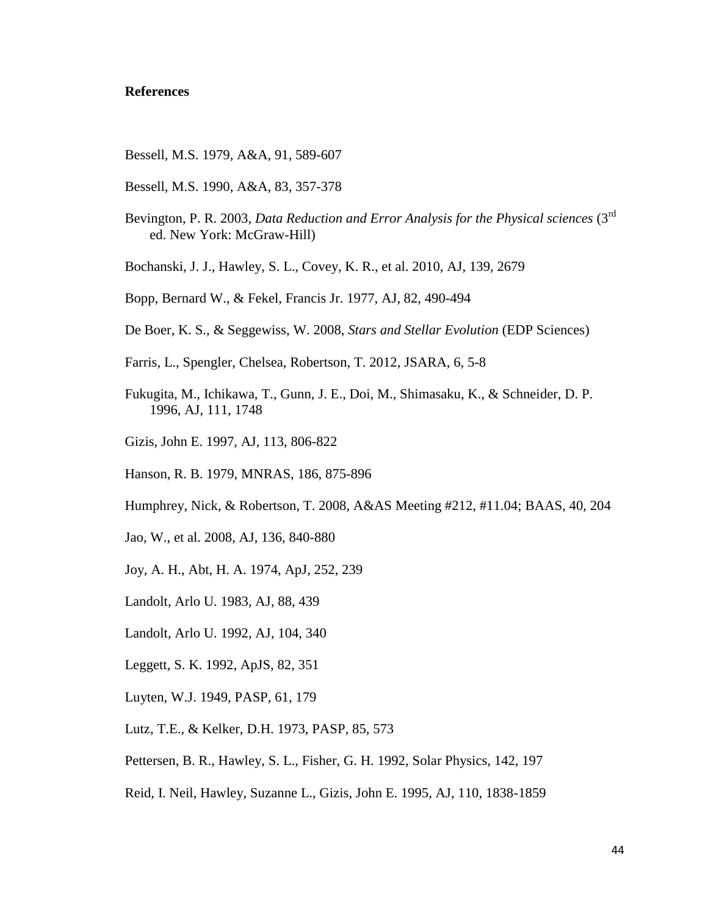#### **References**

- Bessell, M.S. 1979, A&A, 91, 589-607
- Bessell, M.S. 1990, A&A, 83, 357-378
- Bevington, P. R. 2003, *Data Reduction and Error Analysis for the Physical sciences* (3rd ed. New York: McGraw-Hill)
- Bochanski, J. J., Hawley, S. L., Covey, K. R., et al. 2010, AJ, 139, 2679
- Bopp, Bernard W., & Fekel, Francis Jr. 1977, AJ, 82, 490-494
- De Boer, K. S., & Seggewiss, W. 2008, *Stars and Stellar Evolution* (EDP Sciences)
- Farris, L., Spengler, Chelsea, Robertson, T. 2012, JSARA, 6, 5-8
- Fukugita, M., Ichikawa, T., Gunn, J. E., Doi, M., Shimasaku, K., & Schneider, D. P. 1996, AJ, 111, 1748
- Gizis, John E. 1997, AJ, 113, 806-822
- Hanson, R. B. 1979, MNRAS, 186, 875-896
- Humphrey, Nick, & Robertson, T. 2008, A&AS Meeting #212, #11.04; BAAS, 40, 204
- Jao, W., et al. 2008, AJ, 136, 840-880
- Joy, A. H., Abt, H. A. 1974, ApJ, 252, 239
- Landolt, Arlo U. 1983, AJ, 88, 439
- Landolt, Arlo U. 1992, AJ, 104, 340
- Leggett, S. K. 1992, ApJS, 82, 351
- Luyten, W.J. 1949, PASP, 61, 179
- Lutz, T.E., & Kelker, D.H. 1973, PASP, 85, 573
- Pettersen, B. R., Hawley, S. L., Fisher, G. H. 1992, Solar Physics, 142, 197
- Reid, I. Neil, Hawley, Suzanne L., Gizis, John E. 1995, AJ, 110, 1838-1859